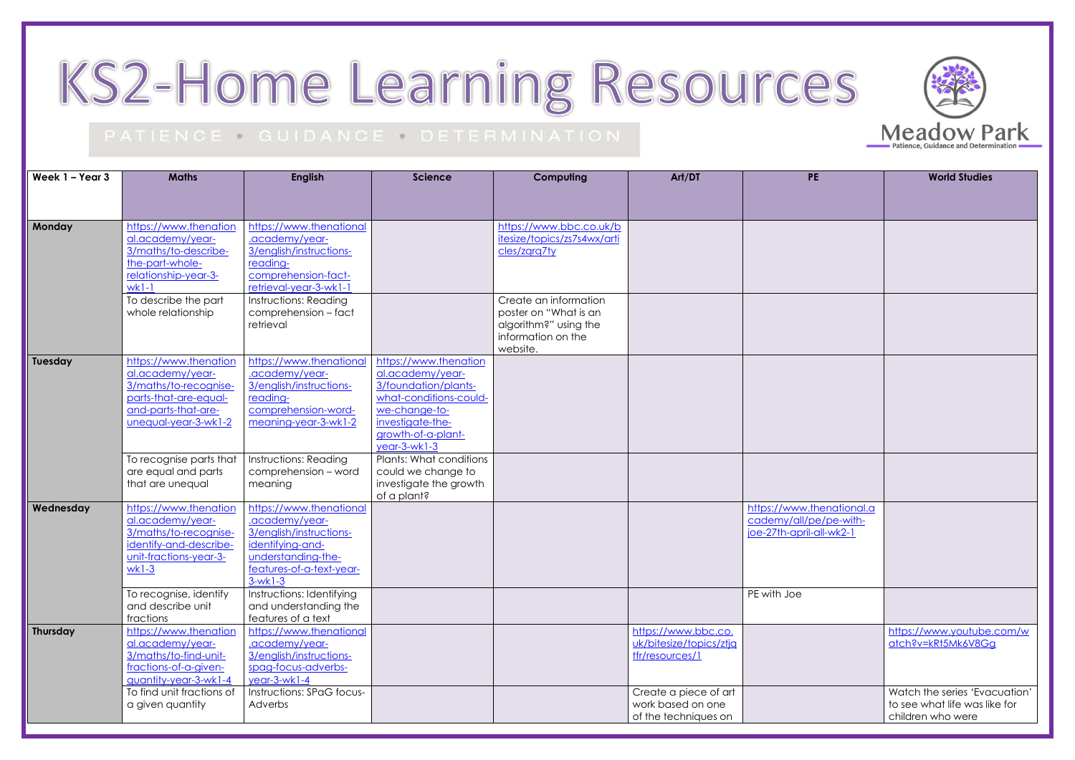## KS2-Home Learning Resources

## PATIENCE · GUIDANCE · DETERMINATION

| Week 1 - Year 3 | <b>Maths</b>                                                                                                                               | <b>English</b>                                                                                                                                          | <b>Science</b>                                                                                                                                                         | Computing                                                                                                 | Art/DT                                                             | <b>PE</b>                                                                       | <b>World Studies</b>                                                   |
|-----------------|--------------------------------------------------------------------------------------------------------------------------------------------|---------------------------------------------------------------------------------------------------------------------------------------------------------|------------------------------------------------------------------------------------------------------------------------------------------------------------------------|-----------------------------------------------------------------------------------------------------------|--------------------------------------------------------------------|---------------------------------------------------------------------------------|------------------------------------------------------------------------|
|                 |                                                                                                                                            |                                                                                                                                                         |                                                                                                                                                                        |                                                                                                           |                                                                    |                                                                                 |                                                                        |
| Monday          | https://www.thenation<br>al.academy/year-<br>3/maths/to-describe-<br>the-part-whole-<br>relationship-year-3-<br>$wk1-1$                    | https://www.thenational<br>.academy/year-<br>3/english/instructions-<br>reading-<br>comprehension-fact-<br>retrieval-year-3-wk1-1                       |                                                                                                                                                                        | https://www.bbc.co.uk/b<br>itesize/topics/zs7s4wx/arti<br>cles/zara7ty                                    |                                                                    |                                                                                 |                                                                        |
|                 | To describe the part<br>whole relationship                                                                                                 | Instructions: Reading<br>comprehension - fact<br>retrieval                                                                                              |                                                                                                                                                                        | Create an information<br>poster on "What is an<br>algorithm?" using the<br>information on the<br>website. |                                                                    |                                                                                 |                                                                        |
| Tuesday         | https://www.thenation<br>al.academy/year-<br>3/maths/to-recognise-<br>parts-that-are-equal-<br>and-parts-that-are-<br>unequal-year-3-wk1-2 | https://www.thenationa<br>.academy/year-<br>3/english/instructions-<br>reading-<br>comprehension-word-<br>meaning-year-3-wk1-2                          | https://www.thenation<br>al.academy/year-<br>3/foundation/plants-<br>what-conditions-could-<br>we-change-to-<br>investigate-the-<br>growth-of-a-plant-<br>year-3-wk1-3 |                                                                                                           |                                                                    |                                                                                 |                                                                        |
|                 | To recognise parts that<br>are equal and parts<br>that are unequal                                                                         | Instructions: Reading<br>comprehension - word<br>meaning                                                                                                | Plants: What conditions<br>could we change to<br>investigate the growth<br>of a plant?                                                                                 |                                                                                                           |                                                                    |                                                                                 |                                                                        |
| Wednesday       | https://www.thenation<br>al.academy/year-<br>3/maths/to-recognise-<br>identify-and-describe-<br>unit-fractions-year-3-<br>$wk1-3$          | https://www.thenational<br>.academy/year-<br>3/english/instructions-<br>identifying-and-<br>understanding-the-<br>features-of-a-text-year-<br>$3-wk1-3$ |                                                                                                                                                                        |                                                                                                           |                                                                    | https://www.thenational.a<br>cademy/all/pe/pe-with-<br>joe-27th-april-all-wk2-1 |                                                                        |
|                 | To recognise, identify<br>and describe unit<br>fractions                                                                                   | Instructions: Identifying<br>and understanding the<br>features of a text                                                                                |                                                                                                                                                                        |                                                                                                           |                                                                    | PE with Joe                                                                     |                                                                        |
| Thursday        | https://www.thenation<br>al.academy/year-<br>3/maths/to-find-unit-<br>fractions-of-a-given-<br>guantity-year-3-wk1-4                       | https://www.thenational<br>.academy/year-<br>3/english/instructions-<br>spag-focus-adverbs-<br>$year-3-wk1-4$                                           |                                                                                                                                                                        |                                                                                                           | https://www.bbc.co.<br>uk/bitesize/topics/ztjq<br>tfr/resources/1  |                                                                                 | https://www.youtube<br>atch?v=kRt5Mk6V8G                               |
|                 | To find unit fractions of<br>a given quantity                                                                                              | Instructions: SPaG focus-<br>Adverbs                                                                                                                    |                                                                                                                                                                        |                                                                                                           | Create a piece of art<br>work based on one<br>of the techniques on |                                                                                 | Watch the series 'Eva<br>to see what life was lil<br>children who were |





| Ė                          | <b>World Studies</b>                               |
|----------------------------|----------------------------------------------------|
|                            |                                                    |
|                            |                                                    |
|                            |                                                    |
|                            |                                                    |
|                            |                                                    |
|                            |                                                    |
|                            |                                                    |
|                            |                                                    |
|                            |                                                    |
|                            |                                                    |
|                            |                                                    |
|                            |                                                    |
| henational.a<br>e/pe-with- |                                                    |
| all-wk2-1                  |                                                    |
|                            |                                                    |
|                            |                                                    |
|                            |                                                    |
|                            | https://www.youtube.com/w<br>atch?v=kRt5Mk6V8Gg    |
|                            |                                                    |
|                            | Watch the series 'Evacuation'                      |
|                            | to see what life was like for<br>children who were |
|                            |                                                    |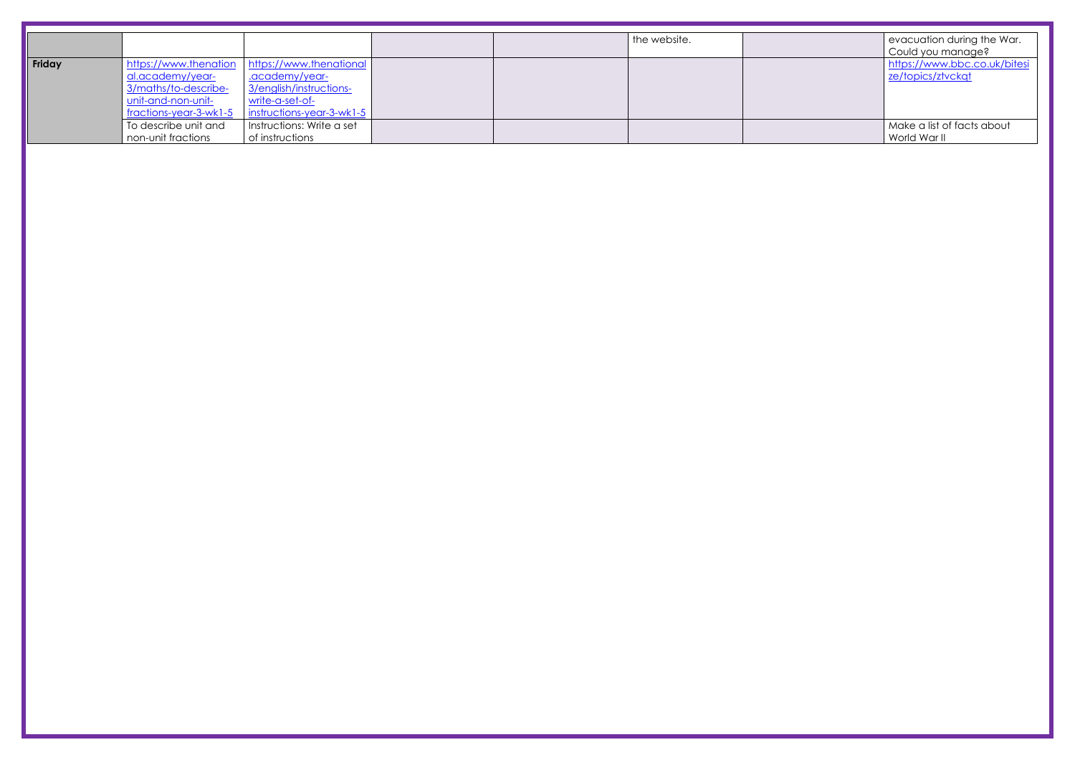|        |                                          |                                          |  | the website. | evacuation during the War.   |
|--------|------------------------------------------|------------------------------------------|--|--------------|------------------------------|
|        |                                          |                                          |  |              | Could you manage?            |
| Friday | https://www.thenation                    | https://www.thenational                  |  |              | https://www.bbc.co.uk/bitesi |
|        | al.academy/year-<br>3/maths/to-describe- | academy/year-<br>3/english/instructions- |  |              | ze/topics/ztvckqt            |
|        |                                          |                                          |  |              |                              |
|        | unit-and-non-unit-                       | write-a-set-of-                          |  |              |                              |
|        | fractions-year-3-wk1-5                   | instructions-year-3-wk1-5                |  |              |                              |
|        | To describe unit and                     | Instructions: Write a set                |  |              | Make a list of facts about   |
|        | non-unit fractions                       | of instructions                          |  |              | World War II                 |
|        |                                          |                                          |  |              |                              |
|        |                                          |                                          |  |              |                              |
|        |                                          |                                          |  |              |                              |
|        |                                          |                                          |  |              |                              |
|        |                                          |                                          |  |              |                              |
|        |                                          |                                          |  |              |                              |
|        |                                          |                                          |  |              |                              |
|        |                                          |                                          |  |              |                              |
|        |                                          |                                          |  |              |                              |
|        |                                          |                                          |  |              |                              |
|        |                                          |                                          |  |              |                              |
|        |                                          |                                          |  |              |                              |
|        |                                          |                                          |  |              |                              |
|        |                                          |                                          |  |              |                              |
|        |                                          |                                          |  |              |                              |
|        |                                          |                                          |  |              |                              |
|        |                                          |                                          |  |              |                              |
|        |                                          |                                          |  |              |                              |
|        |                                          |                                          |  |              |                              |
|        |                                          |                                          |  |              |                              |
|        |                                          |                                          |  |              |                              |
|        |                                          |                                          |  |              |                              |
|        |                                          |                                          |  |              |                              |
|        |                                          |                                          |  |              |                              |
|        |                                          |                                          |  |              |                              |
|        |                                          |                                          |  |              |                              |
|        |                                          |                                          |  |              |                              |
|        |                                          |                                          |  |              |                              |
|        |                                          |                                          |  |              |                              |
|        |                                          |                                          |  |              |                              |
|        |                                          |                                          |  |              |                              |
|        |                                          |                                          |  |              |                              |
|        |                                          |                                          |  |              |                              |
|        |                                          |                                          |  |              |                              |
|        |                                          |                                          |  |              |                              |
|        |                                          |                                          |  |              |                              |
|        |                                          |                                          |  |              |                              |
|        |                                          |                                          |  |              |                              |
|        |                                          |                                          |  |              |                              |
|        |                                          |                                          |  |              |                              |
|        |                                          |                                          |  |              |                              |
|        |                                          |                                          |  |              |                              |
|        |                                          |                                          |  |              |                              |
|        |                                          |                                          |  |              |                              |
|        |                                          |                                          |  |              |                              |
|        |                                          |                                          |  |              |                              |
|        |                                          |                                          |  |              |                              |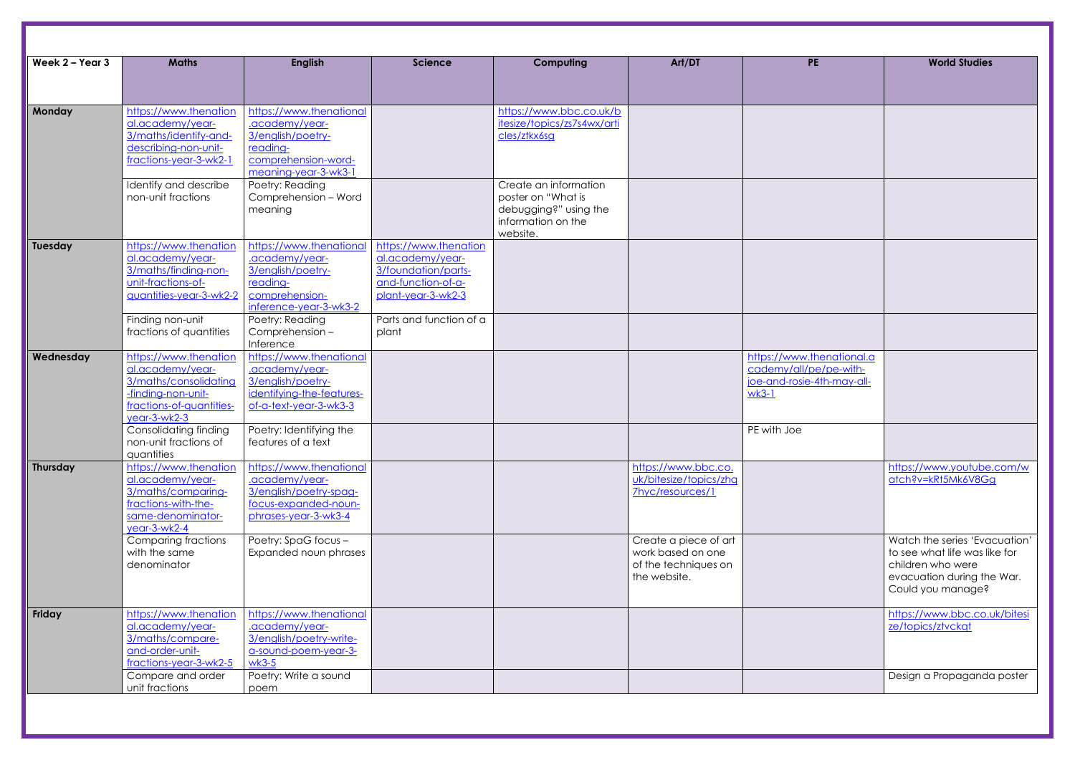| Week 2 - Year 3 | <b>Maths</b>                                                                                                                           | <b>English</b>                                                                                                            | <b>Science</b>                                                                                               | Computing                                                                                              | Art/DT                                                                             | <b>PE</b>                                                                                                   | <b>World Studies</b>                                                                                                 |
|-----------------|----------------------------------------------------------------------------------------------------------------------------------------|---------------------------------------------------------------------------------------------------------------------------|--------------------------------------------------------------------------------------------------------------|--------------------------------------------------------------------------------------------------------|------------------------------------------------------------------------------------|-------------------------------------------------------------------------------------------------------------|----------------------------------------------------------------------------------------------------------------------|
|                 |                                                                                                                                        |                                                                                                                           |                                                                                                              |                                                                                                        |                                                                                    |                                                                                                             |                                                                                                                      |
| <b>Monday</b>   | https://www.thenation<br>al.academy/year-<br>3/maths/identify-and-<br>describing-non-unit-<br>fractions-year-3-wk2-1                   | https://www.thenational<br>.academy/year-<br>3/english/poetry-<br>reading-<br>comprehension-word-<br>meaning-year-3-wk3-1 |                                                                                                              | https://www.bbc.co.uk/b<br>itesize/topics/zs7s4wx/arti<br>cles/ztkx6sg                                 |                                                                                    |                                                                                                             |                                                                                                                      |
|                 | Identify and describe<br>non-unit fractions                                                                                            | Poetry: Reading<br>Comprehension - Word<br>meaning                                                                        |                                                                                                              | Create an information<br>poster on "What is<br>debugging?" using the<br>information on the<br>website. |                                                                                    |                                                                                                             |                                                                                                                      |
| Tuesday         | https://www.thenation<br>al.academy/year-<br>3/maths/finding-non-<br>unit-fractions-of-<br>guantities-year-3-wk2-2                     | https://www.thenational<br>.academy/year-<br>3/english/poetry-<br>reading-<br>comprehension-<br>inference-year-3-wk3-2    | https://www.thenation<br>al.academy/year-<br>3/foundation/parts-<br>and-function-of-a-<br>plant-year-3-wk2-3 |                                                                                                        |                                                                                    |                                                                                                             |                                                                                                                      |
|                 | Finding non-unit<br>fractions of quantities                                                                                            | Poetry: Reading<br>Comprehension -<br>Inference                                                                           | Parts and function of a<br>plant                                                                             |                                                                                                        |                                                                                    |                                                                                                             |                                                                                                                      |
| Wednesday       | https://www.thenation<br>al.academy/year-<br>3/maths/consolidating<br>-finding-non-unit-<br>fractions-of-quantities-<br>$year-3-wk2-3$ | https://www.thenational<br>.academy/year-<br>3/english/poetry-<br>identifying-the-features-<br>of-a-text-year-3-wk3-3     |                                                                                                              |                                                                                                        |                                                                                    | https://www.thenational.a<br>cademy/all/pe/pe-with-<br>joe-and-rosie-4th-may-all-<br>$wk3-1$<br>PE with Joe |                                                                                                                      |
|                 | Consolidating finding<br>non-unit fractions of<br>quantities                                                                           | Poetry: Identifying the<br>features of a text                                                                             |                                                                                                              |                                                                                                        |                                                                                    |                                                                                                             |                                                                                                                      |
| Thursday        | https://www.thenation<br>al.academy/year-<br>3/maths/comparing-<br>fractions-with-the-<br>same-denominator-<br>year-3-wk2-4            | https://www.thenational<br>.academy/year-<br>3/english/poetry-spag-<br>focus-expanded-noun-<br>phrases-year-3-wk3-4       |                                                                                                              |                                                                                                        | https://www.bbc.co.<br>uk/bitesize/topics/zhq<br>7hyc/resources/1                  |                                                                                                             | https://www.youtube<br>atch?v=kRt5Mk6V8G                                                                             |
|                 | <b>Comparing fractions</b><br>with the same<br>denominator                                                                             | Poetry: SpaG focus -<br>Expanded noun phrases                                                                             |                                                                                                              |                                                                                                        | Create a piece of art<br>work based on one<br>of the techniques on<br>the website. |                                                                                                             | Watch the series 'Eva<br>to see what life was lil<br>children who were<br>evacuation during the<br>Could you manage? |
| Friday          | https://www.thenation<br>al.academy/year-<br>3/maths/compare-<br>and-order-unit-<br>fractions-year-3-wk2-5                             | https://www.thenational<br>.academy/year-<br>3/english/poetry-write-<br>a-sound-poem-year-3-<br>$wk3-5$                   |                                                                                                              |                                                                                                        |                                                                                    |                                                                                                             | https://www.bbc.co.u<br>ze/topics/ztvckqt                                                                            |
|                 | Compare and order<br>unit fractions                                                                                                    | Poetry: Write a sound<br>poem                                                                                             |                                                                                                              |                                                                                                        |                                                                                    |                                                                                                             | Design a Propagando                                                                                                  |

| Е                                          | <b>World Studies</b>                                                                                                                   |
|--------------------------------------------|----------------------------------------------------------------------------------------------------------------------------------------|
|                                            |                                                                                                                                        |
|                                            |                                                                                                                                        |
|                                            |                                                                                                                                        |
|                                            |                                                                                                                                        |
|                                            |                                                                                                                                        |
|                                            |                                                                                                                                        |
|                                            |                                                                                                                                        |
|                                            |                                                                                                                                        |
|                                            |                                                                                                                                        |
|                                            |                                                                                                                                        |
| henational.a<br>e/pe-with-<br>4th-may-all- |                                                                                                                                        |
|                                            |                                                                                                                                        |
|                                            | https://www.youtube.com/w<br>atch?v=kRt5Mk6V8Gg                                                                                        |
|                                            | Watch the series 'Evacuation'<br>to see what life was like for<br>children who were<br>evacuation during the War.<br>Could you manage? |
|                                            | https://www.bbc.co.uk/bitesi<br>ze/topics/ztvckgt                                                                                      |
|                                            | Design a Propaganda poster                                                                                                             |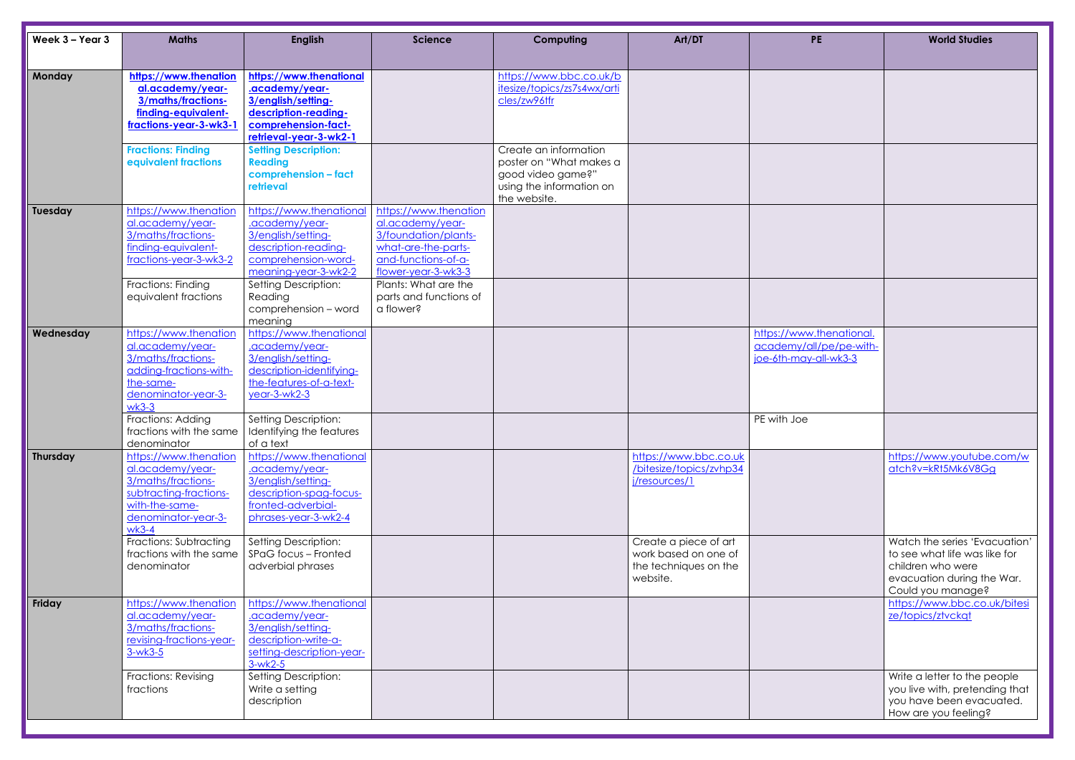| Week 3 - Year 3 | <b>Maths</b>                                  | <b>English</b>                              | <b>Science</b>                             | Computing                                              | Art/DT                  | <b>PE</b>                                        | <b>World Studies</b>                       |
|-----------------|-----------------------------------------------|---------------------------------------------|--------------------------------------------|--------------------------------------------------------|-------------------------|--------------------------------------------------|--------------------------------------------|
|                 |                                               |                                             |                                            |                                                        |                         |                                                  |                                            |
| <b>Monday</b>   | https://www.thenation<br>al.academy/year-     | https://www.thenational<br>.academy/year-   |                                            | https://www.bbc.co.uk/b<br>itesize/topics/zs7s4wx/arti |                         |                                                  |                                            |
|                 | 3/maths/fractions-                            | 3/english/setting-                          |                                            | cles/zw96tfr                                           |                         |                                                  |                                            |
|                 | finding-equivalent-                           | description-reading-                        |                                            |                                                        |                         |                                                  |                                            |
|                 | fractions-year-3-wk3-                         | comprehension-fact-                         |                                            |                                                        |                         |                                                  |                                            |
|                 |                                               | retrieval-year-3-wk2-1                      |                                            |                                                        |                         |                                                  |                                            |
|                 | <b>Fractions: Finding</b>                     | <b>Setting Description:</b>                 |                                            | Create an information                                  |                         |                                                  |                                            |
|                 | equivalent fractions                          | <b>Reading</b><br>comprehension - fact      |                                            | poster on "What makes a<br>good video game?"           |                         |                                                  |                                            |
|                 |                                               | retrieval                                   |                                            | using the information on                               |                         |                                                  |                                            |
|                 |                                               |                                             |                                            | the website.                                           |                         |                                                  |                                            |
| Tuesday         | https://www.thenation                         | https://www.thenationa                      | https://www.thenation                      |                                                        |                         |                                                  |                                            |
|                 | al.academy/year-                              | .academy/year-                              | al.academy/year-                           |                                                        |                         |                                                  |                                            |
|                 | 3/maths/fractions-                            | 3/english/setting-                          | 3/foundation/plants-                       |                                                        |                         |                                                  |                                            |
|                 | finding-equivalent-<br>fractions-year-3-wk3-2 | description-reading-<br>comprehension-word- | what-are-the-parts-<br>and-functions-of-a- |                                                        |                         |                                                  |                                            |
|                 |                                               | meaning-year-3-wk2-2                        | flower-year-3-wk3-3                        |                                                        |                         |                                                  |                                            |
|                 | Fractions: Finding                            | <b>Setting Description:</b>                 | Plants: What are the                       |                                                        |                         |                                                  |                                            |
|                 | equivalent fractions                          | Reading                                     | parts and functions of                     |                                                        |                         |                                                  |                                            |
|                 |                                               | comprehension - word                        | a flower?                                  |                                                        |                         |                                                  |                                            |
|                 |                                               | meaning                                     |                                            |                                                        |                         |                                                  |                                            |
| Wednesday       | https://www.thenation<br>al.academy/year-     | https://www.thenational                     |                                            |                                                        |                         | https://www.thenational.                         |                                            |
|                 | 3/maths/fractions-                            | .academy/year-<br>3/english/setting-        |                                            |                                                        |                         | academy/all/pe/pe-with-<br>joe-6th-may-all-wk3-3 |                                            |
|                 | adding-fractions-with-                        | description-identifying-                    |                                            |                                                        |                         |                                                  |                                            |
|                 | the-same-                                     | the-features-of-a-text-                     |                                            |                                                        |                         |                                                  |                                            |
|                 | denominator-year-3-                           | year-3-wk2-3                                |                                            |                                                        |                         |                                                  |                                            |
|                 | $wk3-3$                                       |                                             |                                            |                                                        |                         |                                                  |                                            |
|                 | Fractions: Adding                             | <b>Setting Description:</b>                 |                                            |                                                        |                         | PE with Joe                                      |                                            |
|                 | fractions with the same<br>denominator        | Identifying the features<br>of a text       |                                            |                                                        |                         |                                                  |                                            |
| Thursday        | https://www.thenation                         | https://www.thenational                     |                                            |                                                        | https://www.bbc.co.uk   |                                                  | https://www.youtube                        |
|                 | al.academy/year-                              | .academy/year-                              |                                            |                                                        | /bitesize/topics/zvhp34 |                                                  | atch?v=kRt5Mk6V8G                          |
|                 | 3/maths/fractions-                            | 3/english/setting-                          |                                            |                                                        | j/resources/1           |                                                  |                                            |
|                 | subtracting-fractions-                        | description-spag-focus-                     |                                            |                                                        |                         |                                                  |                                            |
|                 | with-the-same-                                | fronted-adverbial-                          |                                            |                                                        |                         |                                                  |                                            |
|                 | denominator-year-3-<br>$wk3-4$                | phrases-year-3-wk2-4                        |                                            |                                                        |                         |                                                  |                                            |
|                 | Fractions: Subtracting                        | <b>Setting Description:</b>                 |                                            |                                                        | Create a piece of art   |                                                  | Watch the series 'Eva                      |
|                 | fractions with the same                       | SPaG focus - Fronted                        |                                            |                                                        | work based on one of    |                                                  | to see what life was lil                   |
|                 | denominator                                   | adverbial phrases                           |                                            |                                                        | the techniques on the   |                                                  | children who were                          |
|                 |                                               |                                             |                                            |                                                        | website.                |                                                  | evacuation during the                      |
|                 |                                               |                                             |                                            |                                                        |                         |                                                  | Could you manage?                          |
| Friday          | https://www.thenation<br>al.academy/year-     | https://www.thenational<br>.academy/year-   |                                            |                                                        |                         |                                                  | https://www.bbc.co.u<br>ze/topics/ztvckqt  |
|                 | 3/maths/fractions-                            | 3/english/setting-                          |                                            |                                                        |                         |                                                  |                                            |
|                 | revising-fractions-year-                      | description-write-a-                        |                                            |                                                        |                         |                                                  |                                            |
|                 | $3-wk3-5$                                     | setting-description-year-                   |                                            |                                                        |                         |                                                  |                                            |
|                 |                                               | $3-wk2-5$                                   |                                            |                                                        |                         |                                                  |                                            |
|                 | <b>Fractions: Revising</b>                    | Setting Description:                        |                                            |                                                        |                         |                                                  | Write a letter to the p                    |
|                 | fractions                                     | Write a setting                             |                                            |                                                        |                         |                                                  | you live with, pretend                     |
|                 |                                               | description                                 |                                            |                                                        |                         |                                                  | you have been evac<br>How are you feeling? |
|                 |                                               |                                             |                                            |                                                        |                         |                                                  |                                            |

| <b>PE</b>                                                                    | <b>World Studies</b>                                                                                                                                                                        |
|------------------------------------------------------------------------------|---------------------------------------------------------------------------------------------------------------------------------------------------------------------------------------------|
|                                                                              |                                                                                                                                                                                             |
|                                                                              |                                                                                                                                                                                             |
|                                                                              |                                                                                                                                                                                             |
|                                                                              |                                                                                                                                                                                             |
| https://www.thenational.<br>academy/all/pe/pe-with-<br>joe-6th-may-all-wk3-3 |                                                                                                                                                                                             |
| PE with Joe                                                                  |                                                                                                                                                                                             |
|                                                                              | https://www.youtube.com/w<br>atch?v=kRt5Mk6V8Gg                                                                                                                                             |
|                                                                              | Watch the series 'Evacuation'<br>to see what life was like for<br>children who were<br>evacuation during the War.<br>Could you manage?<br>https://www.bbc.co.uk/bitesi<br>ze/topics/ztvckgt |
|                                                                              | Write a letter to the people<br>you live with, pretending that<br>you have been evacuated.<br>How are you feeling?                                                                          |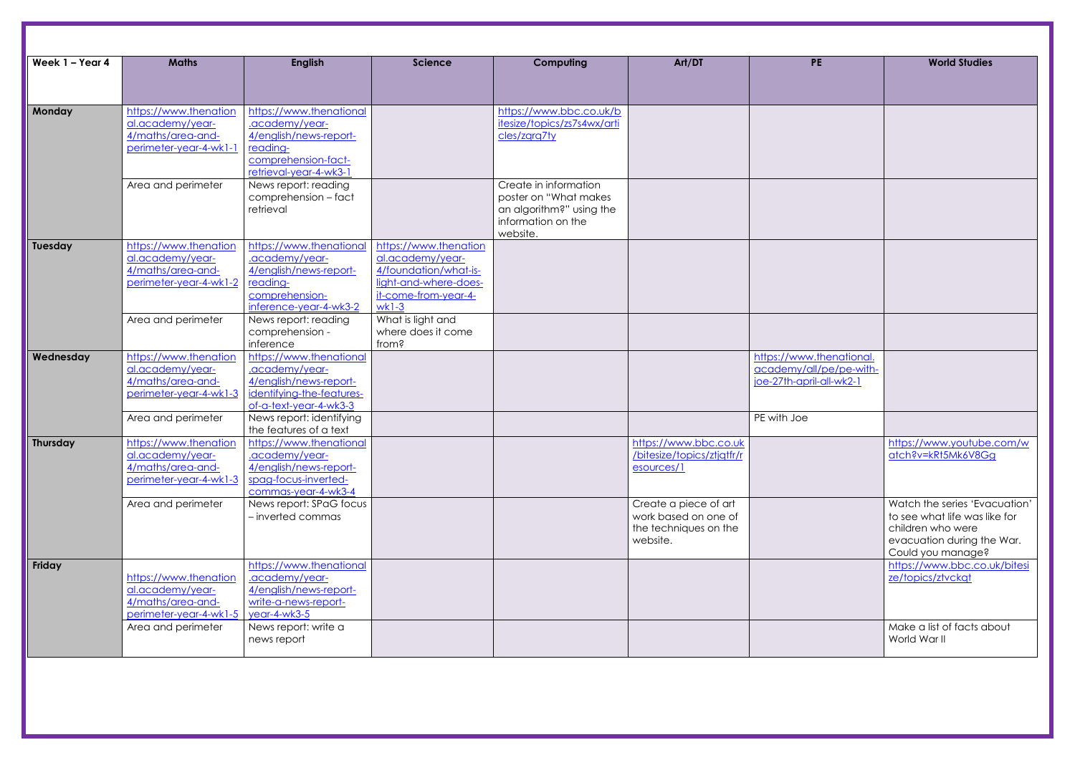| Week 1 - Year 4 | <b>Maths</b>                                                                             | <b>English</b>                                                                                                                   | <b>Science</b>                                                                                                                 | Computing                                                                                                     | Art/DT                                                                             | <b>PE</b>                                                                       | <b>World Studies</b>                                                                                                 |
|-----------------|------------------------------------------------------------------------------------------|----------------------------------------------------------------------------------------------------------------------------------|--------------------------------------------------------------------------------------------------------------------------------|---------------------------------------------------------------------------------------------------------------|------------------------------------------------------------------------------------|---------------------------------------------------------------------------------|----------------------------------------------------------------------------------------------------------------------|
|                 |                                                                                          |                                                                                                                                  |                                                                                                                                |                                                                                                               |                                                                                    |                                                                                 |                                                                                                                      |
| Monday          | https://www.thenation<br>al.academy/year-<br>4/maths/area-and-<br>perimeter-year-4-wk1-1 | https://www.thenational<br>.academy/year-<br>4/english/news-report-<br>reading-<br>comprehension-fact-<br>retrieval-year-4-wk3-1 |                                                                                                                                | https://www.bbc.co.uk/b<br>itesize/topics/zs7s4wx/arti<br>cles/zgrg7ty                                        |                                                                                    |                                                                                 |                                                                                                                      |
|                 | Area and perimeter                                                                       | News report: reading<br>comprehension - fact<br>retrieval                                                                        |                                                                                                                                | Create in information<br>poster on "What makes"<br>an algorithm?" using the<br>information on the<br>website. |                                                                                    |                                                                                 |                                                                                                                      |
| Tuesday         | https://www.thenation<br>al.academy/year-<br>4/maths/area-and-<br>perimeter-year-4-wk1-2 | https://www.thenational<br>.academy/year-<br>4/english/news-report-<br>reading-<br>comprehension-<br>inference-year-4-wk3-2      | https://www.thenation<br>al.academy/year-<br>4/foundation/what-is-<br>light-and-where-does-<br>it-come-from-year-4-<br>$wk1-3$ |                                                                                                               |                                                                                    |                                                                                 |                                                                                                                      |
|                 | Area and perimeter                                                                       | News report: reading<br>comprehension -<br>inference                                                                             | What is light and<br>where does it come<br>from?                                                                               |                                                                                                               |                                                                                    |                                                                                 |                                                                                                                      |
| Wednesday       | https://www.thenation<br>al.academy/year-<br>4/maths/area-and-<br>perimeter-year-4-wk1-3 | https://www.thenational<br>.academy/year-<br>4/english/news-report-<br>identifying-the-features-<br>of-a-text-year-4-wk3-3       |                                                                                                                                |                                                                                                               |                                                                                    | https://www.thenational.<br>academy/all/pe/pe-with-<br>joe-27th-april-all-wk2-1 |                                                                                                                      |
|                 | Area and perimeter                                                                       | News report: identifying<br>the features of a text                                                                               |                                                                                                                                |                                                                                                               |                                                                                    | PE with Joe                                                                     |                                                                                                                      |
| <b>Thursday</b> | https://www.thenation<br>al.academy/year-<br>4/maths/area-and-<br>perimeter-year-4-wk1-3 | https://www.thenational<br>.academy/year-<br>4/english/news-report-<br>spag-focus-inverted-<br>commas-year-4-wk3-4               |                                                                                                                                |                                                                                                               | https://www.bbc.co.uk<br>/bitesize/topics/ztjqtfr/r<br>esources/1                  |                                                                                 | https://www.youtube<br>atch?v=kRt5Mk6V8G                                                                             |
|                 | Area and perimeter                                                                       | News report: SPaG focus<br>- inverted commas                                                                                     |                                                                                                                                |                                                                                                               | Create a piece of art<br>work based on one of<br>the techniques on the<br>website. |                                                                                 | Watch the series 'Eva<br>to see what life was lil<br>children who were<br>evacuation during the<br>Could you manage? |
| Friday          | https://www.thenation<br>al.academy/year-<br>4/maths/area-and-<br>perimeter-year-4-wk1-5 | https://www.thenational<br>.academy/year-<br>4/english/news-report-<br>write-a-news-report-<br>year-4-wk3-5                      |                                                                                                                                |                                                                                                               |                                                                                    |                                                                                 | https://www.bbc.co.u<br>ze/topics/ztvckgt                                                                            |
|                 | Area and perimeter                                                                       | News report: write a<br>news report                                                                                              |                                                                                                                                |                                                                                                               |                                                                                    |                                                                                 | Make a list of facts ab<br>World War II                                                                              |

| <b>PE</b>                                           | <b>World Studies</b>                                           |
|-----------------------------------------------------|----------------------------------------------------------------|
|                                                     |                                                                |
|                                                     |                                                                |
|                                                     |                                                                |
|                                                     |                                                                |
|                                                     |                                                                |
|                                                     |                                                                |
|                                                     |                                                                |
|                                                     |                                                                |
|                                                     |                                                                |
|                                                     |                                                                |
|                                                     |                                                                |
|                                                     |                                                                |
|                                                     |                                                                |
| https://www.thenational.<br>academy/all/pe/pe-with- |                                                                |
| joe-27th-april-all-wk2-1                            |                                                                |
|                                                     |                                                                |
| PE with Joe                                         |                                                                |
|                                                     | https://www.youtube.com/w<br>atch?v=kRt5Mk6V8Gg                |
|                                                     |                                                                |
|                                                     |                                                                |
|                                                     | Watch the series 'Evacuation'<br>to see what life was like for |
|                                                     | children who were<br>evacuation during the War.                |
|                                                     | Could you manage?                                              |
|                                                     | https://www.bbc.co.uk/bitesi<br>ze/topics/ztvckqt              |
|                                                     |                                                                |
|                                                     |                                                                |
|                                                     | Make a list of facts about<br>World War II                     |
|                                                     |                                                                |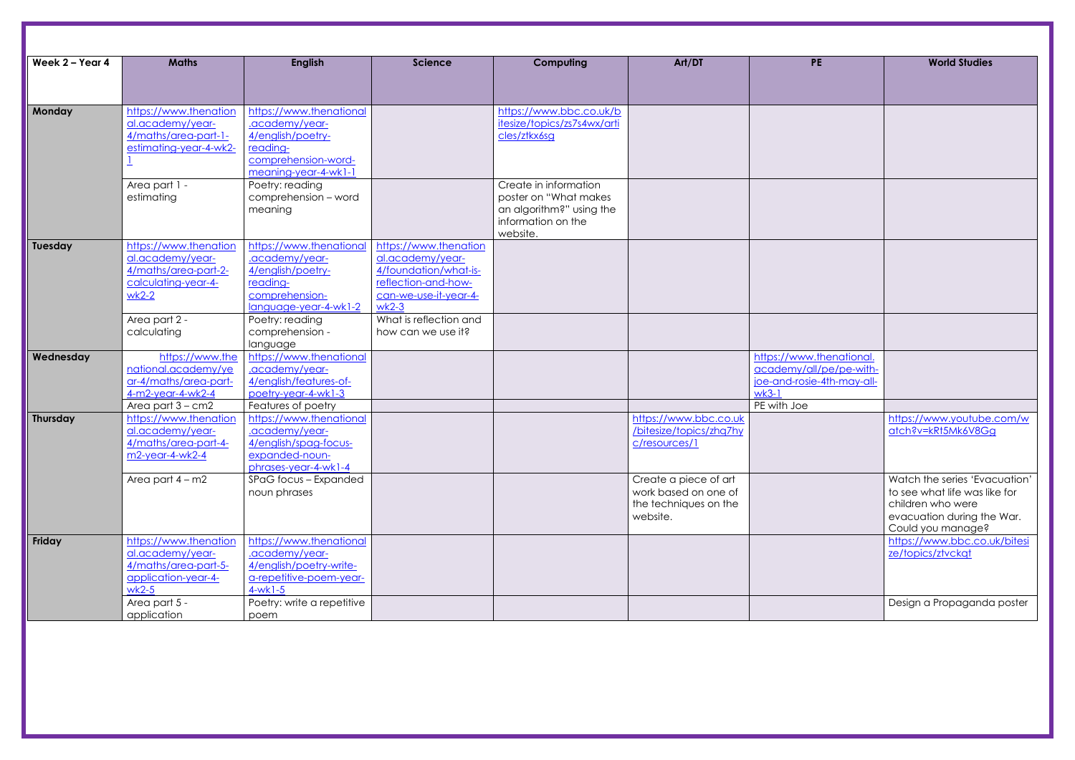| Week 2 - Year 4 | <b>Maths</b>                                                                                                | <b>English</b>                                                                                                            | <b>Science</b>                                                                                                                | Computing                                                                                                     | Art/DT                                                                             | <b>PE</b>                                                                                                   | <b>World Studies</b>                                                                                                 |
|-----------------|-------------------------------------------------------------------------------------------------------------|---------------------------------------------------------------------------------------------------------------------------|-------------------------------------------------------------------------------------------------------------------------------|---------------------------------------------------------------------------------------------------------------|------------------------------------------------------------------------------------|-------------------------------------------------------------------------------------------------------------|----------------------------------------------------------------------------------------------------------------------|
|                 |                                                                                                             |                                                                                                                           |                                                                                                                               |                                                                                                               |                                                                                    |                                                                                                             |                                                                                                                      |
| Monday          | https://www.thenation<br>al.academy/year-<br>4/maths/area-part-1-<br>estimating-year-4-wk2-                 | https://www.thenational<br>.academy/year-<br>4/english/poetry-<br>reading-<br>comprehension-word-<br>meaning-year-4-wk1-1 |                                                                                                                               | https://www.bbc.co.uk/b<br>itesize/topics/zs7s4wx/arti<br>cles/ztkx6sg                                        |                                                                                    |                                                                                                             |                                                                                                                      |
|                 | Area part 1 -<br>estimating                                                                                 | Poetry: reading<br>comprehension - word<br>meaning                                                                        |                                                                                                                               | Create in information<br>poster on "What makes"<br>an algorithm?" using the<br>information on the<br>website. |                                                                                    |                                                                                                             |                                                                                                                      |
| Tuesday         | https://www.thenation<br>al.academy/year-<br>4/maths/area-part-2-<br>calculating-year-4-<br>$wk2-2$         | https://www.thenational<br>.academy/year-<br>4/english/poetry-<br>reading-<br>comprehension-<br>language-year-4-wk1-2     | https://www.thenation<br>al.academy/year-<br>4/foundation/what-is-<br>reflection-and-how-<br>can-we-use-it-year-4-<br>$wk2-3$ |                                                                                                               |                                                                                    |                                                                                                             |                                                                                                                      |
|                 | Area part 2 -<br>calculating                                                                                | Poetry: reading<br>comprehension -<br>language                                                                            | What is reflection and<br>how can we use it?                                                                                  |                                                                                                               |                                                                                    |                                                                                                             |                                                                                                                      |
| Wednesday       | https://www.the<br>national.academy/ye<br>ar-4/maths/area-part-<br>4-m2-year-4-wk2-4<br>Area part $3 - cm2$ | https://www.thenational<br>.academy/year-<br>4/english/features-of-<br>poetry-year-4-wk1-3<br>Features of poetry          |                                                                                                                               |                                                                                                               |                                                                                    | https://www.thenational.<br>academy/all/pe/pe-with-<br>joe-and-rosie-4th-may-all-<br>$wk3-1$<br>PE with Joe |                                                                                                                      |
| Thursday        | https://www.thenation<br>al.academy/year-<br>4/maths/area-part-4-<br>$m2$ -year-4-wk2-4                     | https://www.thenational<br>.academy/year-<br>4/english/spag-focus-<br>expanded-noun-<br>phrases-year-4-wk1-4              |                                                                                                                               |                                                                                                               | https://www.bbc.co.uk<br>/bitesize/topics/zhq7hy<br>c/resources/1                  |                                                                                                             | https://www.youtube<br>atch?v=kRt5Mk6V8G                                                                             |
|                 | Area part $4 - m2$                                                                                          | SPaG focus - Expanded<br>noun phrases                                                                                     |                                                                                                                               |                                                                                                               | Create a piece of art<br>work based on one of<br>the techniques on the<br>website. |                                                                                                             | Watch the series 'Eva<br>to see what life was lil<br>children who were<br>evacuation during the<br>Could you manage? |
| Friday          | https://www.thenation<br>al.academy/year-<br>4/maths/area-part-5-<br>application-year-4-<br>$wk2-5$         | https://www.thenational<br>.academy/year-<br>4/english/poetry-write-<br>a-repetitive-poem-year-<br>$4-wk1-5$              |                                                                                                                               |                                                                                                               |                                                                                    |                                                                                                             | https://www.bbc.co.u<br>ze/topics/ztvckgt                                                                            |
|                 | Area part 5 -<br>application                                                                                | Poetry: write a repetitive<br>poem                                                                                        |                                                                                                                               |                                                                                                               |                                                                                    |                                                                                                             | Design a Propagando                                                                                                  |

| <b>PE</b>                                           | <b>World Studies</b>                            |
|-----------------------------------------------------|-------------------------------------------------|
|                                                     |                                                 |
|                                                     |                                                 |
|                                                     |                                                 |
|                                                     |                                                 |
|                                                     |                                                 |
|                                                     |                                                 |
|                                                     |                                                 |
|                                                     |                                                 |
|                                                     |                                                 |
|                                                     |                                                 |
|                                                     |                                                 |
|                                                     |                                                 |
|                                                     |                                                 |
|                                                     |                                                 |
| https://www.thenational.<br>academy/all/pe/pe-with- |                                                 |
| joe-and-rosie-4th-may-all-                          |                                                 |
| <u>wk3-1</u><br>PE with Joe                         |                                                 |
|                                                     | https://www.youtube.com/w                       |
|                                                     | atch?v=kRt5Mk6V8Gg                              |
|                                                     |                                                 |
|                                                     | Watch the series 'Evacuation'                   |
|                                                     | to see what life was like for                   |
|                                                     | children who were                               |
|                                                     | evacuation during the War.<br>Could you manage? |
|                                                     | https://www.bbc.co.uk/bitesi                    |
|                                                     | ze/topics/ztvckqt                               |
|                                                     |                                                 |
|                                                     | Design a Propaganda poster                      |
|                                                     |                                                 |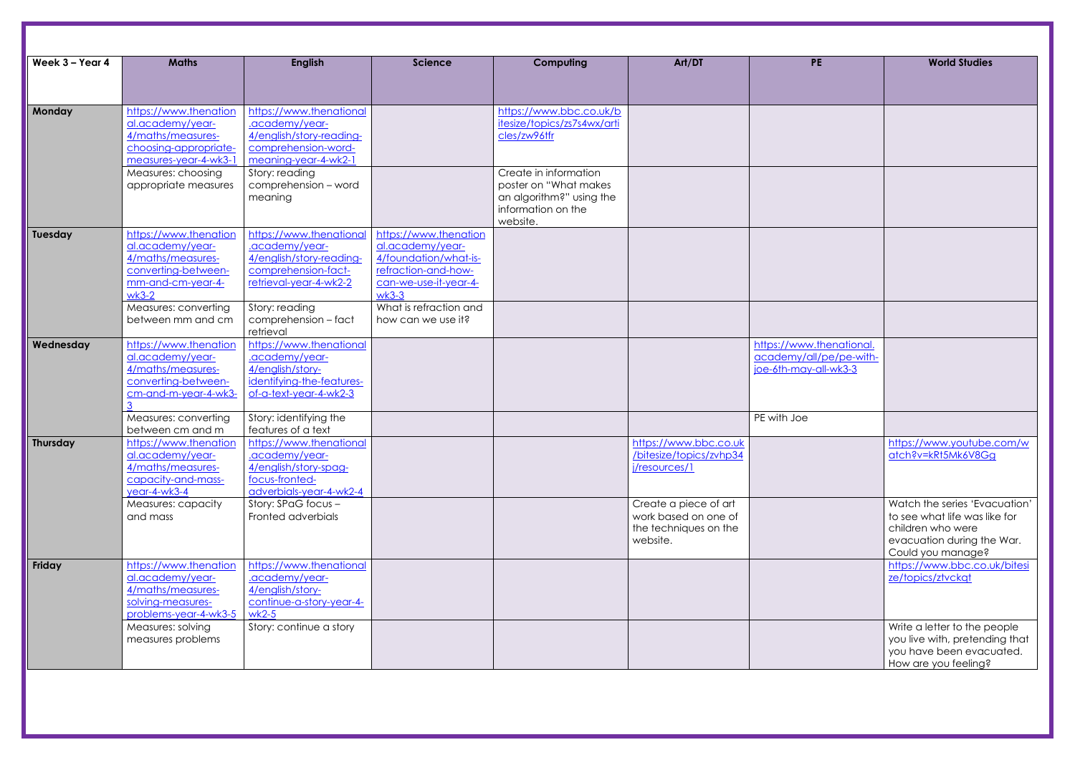| Week 3 - Year 4 | <b>Maths</b>                                | <b>English</b>                                      | <b>Science</b>         | Computing                      | Art/DT                  | <b>PE</b>                | <b>World Studies</b>                            |
|-----------------|---------------------------------------------|-----------------------------------------------------|------------------------|--------------------------------|-------------------------|--------------------------|-------------------------------------------------|
|                 |                                             |                                                     |                        |                                |                         |                          |                                                 |
| Monday          | https://www.thenation                       | https://www.thenational                             |                        | https://www.bbc.co.uk/b        |                         |                          |                                                 |
|                 | al.academy/year-                            | .academy/year-                                      |                        | itesize/topics/zs7s4wx/arti    |                         |                          |                                                 |
|                 | 4/maths/measures-                           | 4/english/story-reading-                            |                        | cles/zw96tfr                   |                         |                          |                                                 |
|                 | choosing-appropriate-                       | comprehension-word-                                 |                        |                                |                         |                          |                                                 |
|                 | measures-year-4-wk3-1                       | meaning-year-4-wk2-1                                |                        |                                |                         |                          |                                                 |
|                 | Measures: choosing                          | Story: reading                                      |                        | Create in information          |                         |                          |                                                 |
|                 | appropriate measures                        | comprehension - word                                |                        | poster on "What makes"         |                         |                          |                                                 |
|                 |                                             | meaning                                             |                        | an algorithm?" using the       |                         |                          |                                                 |
|                 |                                             |                                                     |                        | information on the<br>website. |                         |                          |                                                 |
| Tuesday         | https://www.thenation                       | https://www.thenational                             | https://www.thenation  |                                |                         |                          |                                                 |
|                 | al.academy/year-                            | .academy/year-                                      | al.academy/year-       |                                |                         |                          |                                                 |
|                 | 4/maths/measures-                           | 4/english/story-reading-                            | 4/foundation/what-is-  |                                |                         |                          |                                                 |
|                 | converting-between-                         | comprehension-fact-                                 | refraction-and-how-    |                                |                         |                          |                                                 |
|                 | mm-and-cm-year-4-                           | retrieval-year-4-wk2-2                              | can-we-use-it-year-4-  |                                |                         |                          |                                                 |
|                 | $wk3-2$                                     |                                                     | $wk3-3$                |                                |                         |                          |                                                 |
|                 | Measures: converting                        | Story: reading                                      | What is refraction and |                                |                         |                          |                                                 |
|                 | between mm and cm                           | comprehension - fact                                | how can we use it?     |                                |                         |                          |                                                 |
|                 |                                             | retrieval                                           |                        |                                |                         |                          |                                                 |
| Wednesday       | https://www.thenation                       | https://www.thenational                             |                        |                                |                         | https://www.thenational. |                                                 |
|                 | al.academy/year-                            | .academy/year-                                      |                        |                                |                         | academy/all/pe/pe-with-  |                                                 |
|                 | 4/maths/measures-                           | 4/english/story-                                    |                        |                                |                         | joe-6th-may-all-wk3-3    |                                                 |
|                 | converting-between-<br>cm-and-m-year-4-wk3- | identifying-the-features-<br>of-a-text-year-4-wk2-3 |                        |                                |                         |                          |                                                 |
|                 |                                             |                                                     |                        |                                |                         |                          |                                                 |
|                 | Measures: converting                        | Story: identifying the                              |                        |                                |                         | PE with Joe              |                                                 |
|                 | between cm and m                            | features of a text                                  |                        |                                |                         |                          |                                                 |
| <b>Thursday</b> | https://www.thenation                       | https://www.thenational                             |                        |                                | https://www.bbc.co.uk   |                          | https://www.youtube.com/                        |
|                 | al.academy/year-                            | .academy/year-                                      |                        |                                | /bitesize/topics/zvhp34 |                          | atch?v=kRt5Mk6V8Gg                              |
|                 | 4/maths/measures-                           | 4/english/story-spag-                               |                        |                                | j/resources/1           |                          |                                                 |
|                 | capacity-and-mass-                          | focus-fronted-                                      |                        |                                |                         |                          |                                                 |
|                 | year-4-wk3-4                                | adverbials-year-4-wk2-4                             |                        |                                |                         |                          |                                                 |
|                 | Measures: capacity                          | Story: SPaG focus -                                 |                        |                                | Create a piece of art   |                          | Watch the series 'Evacuation                    |
|                 | and mass                                    | Fronted adverbials                                  |                        |                                | work based on one of    |                          | to see what life was like for                   |
|                 |                                             |                                                     |                        |                                | the techniques on the   |                          | children who were                               |
|                 |                                             |                                                     |                        |                                | website.                |                          | evacuation during the War.<br>Could you manage? |
| Friday          | https://www.thenation                       | https://www.thenational                             |                        |                                |                         |                          | https://www.bbc.co.uk/bite                      |
|                 | al.academy/year-                            | .academy/year-                                      |                        |                                |                         |                          | ze/topics/ztvckgt                               |
|                 | 4/maths/measures-                           | 4/english/story-                                    |                        |                                |                         |                          |                                                 |
|                 | solving-measures-                           | continue-a-story-year-4-                            |                        |                                |                         |                          |                                                 |
|                 | problems-year-4-wk3-5                       | $wk2-5$                                             |                        |                                |                         |                          |                                                 |
|                 | Measures: solving                           | Story: continue a story                             |                        |                                |                         |                          | Write a letter to the people                    |
|                 | measures problems                           |                                                     |                        |                                |                         |                          | you live with, pretending the                   |
|                 |                                             |                                                     |                        |                                |                         |                          | you have been evacuated                         |
|                 |                                             |                                                     |                        |                                |                         |                          | How are you feeling?                            |

| <b>PE</b>                                                                    | <b>World Studies</b>                                                                                                                   |
|------------------------------------------------------------------------------|----------------------------------------------------------------------------------------------------------------------------------------|
|                                                                              |                                                                                                                                        |
|                                                                              |                                                                                                                                        |
|                                                                              |                                                                                                                                        |
|                                                                              |                                                                                                                                        |
| https://www.thenational.<br>academy/all/pe/pe-with-<br>joe-6th-may-all-wk3-3 |                                                                                                                                        |
| PE with Joe                                                                  |                                                                                                                                        |
|                                                                              | https://www.youtube.com/w<br>atch?v=kRt5Mk6V8Gg                                                                                        |
|                                                                              | Watch the series 'Evacuation'<br>to see what life was like for<br>children who were<br>evacuation during the War.<br>Could you manage? |
|                                                                              | https://www.bbc.co.uk/bitesi<br>ze/topics/ztvckqt                                                                                      |
|                                                                              | Write a letter to the people<br>you live with, pretending that<br>you have been evacuated.<br>How are you feeling?                     |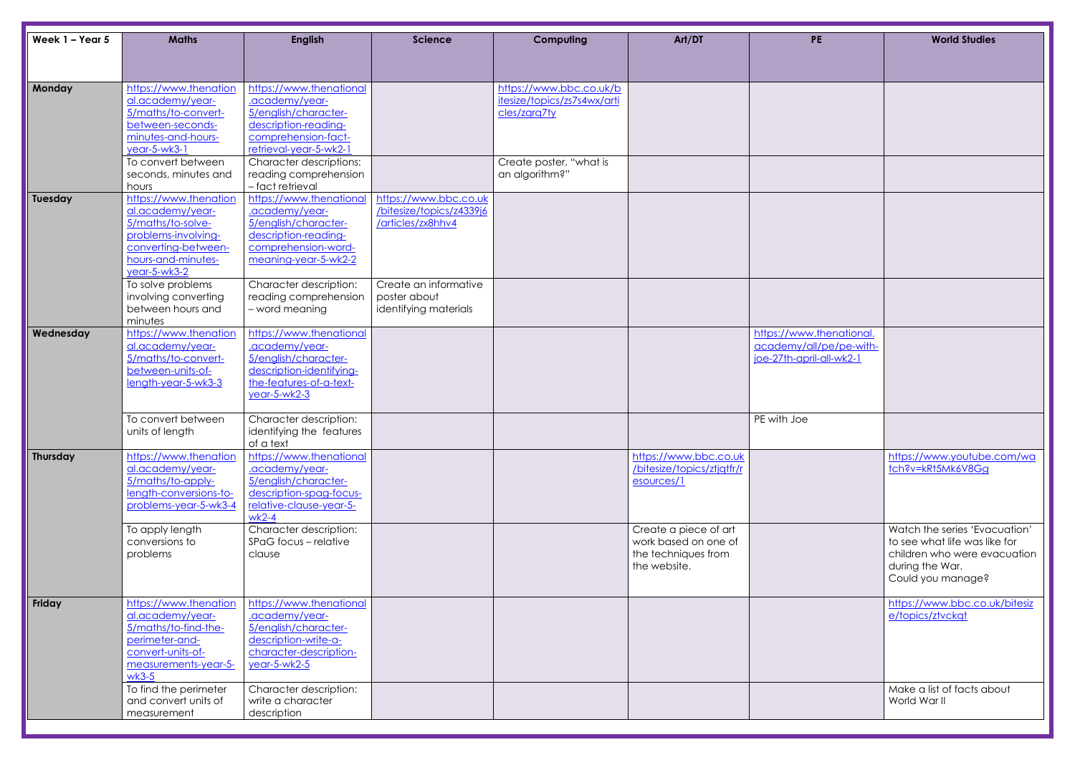| Week 1 - Year 5 | <b>Maths</b>                                                                                                                                       | <b>English</b>                                                                                                                             | <b>Science</b>                                                         | Computing                                                              | Art/DT                                                                               | <b>PE</b>                                                                       | <b>World Studies</b>                                                                                                |
|-----------------|----------------------------------------------------------------------------------------------------------------------------------------------------|--------------------------------------------------------------------------------------------------------------------------------------------|------------------------------------------------------------------------|------------------------------------------------------------------------|--------------------------------------------------------------------------------------|---------------------------------------------------------------------------------|---------------------------------------------------------------------------------------------------------------------|
|                 |                                                                                                                                                    |                                                                                                                                            |                                                                        |                                                                        |                                                                                      |                                                                                 |                                                                                                                     |
| Monday          | https://www.thenation<br>al.academy/year-<br>5/maths/to-convert-<br>between-seconds-<br>minutes-and-hours-<br>$year-5-wk3-1$                       | https://www.thenational<br>.academy/year-<br>5/english/character-<br>description-reading-<br>comprehension-fact-<br>retrieval-year-5-wk2-1 |                                                                        | https://www.bbc.co.uk/b<br>itesize/topics/zs7s4wx/arti<br>cles/zara7ty |                                                                                      |                                                                                 |                                                                                                                     |
|                 | To convert between<br>seconds, minutes and<br>hours                                                                                                | <b>Character descriptions:</b><br>reading comprehension<br>- fact retrieval                                                                |                                                                        | Create poster, "what is<br>an algorithm?"                              |                                                                                      |                                                                                 |                                                                                                                     |
| Tuesday         | https://www.thenation<br>al.academy/year-<br>5/maths/to-solve-<br>problems-involving-<br>converting-between-<br>hours-and-minutes-<br>year-5-wk3-2 | https://www.thenational<br>.academy/year-<br>5/english/character-<br>description-reading-<br>comprehension-word-<br>meaning-year-5-wk2-2   | https://www.bbc.co.uk<br>/bitesize/topics/z4339j6<br>/articles/zx8hhv4 |                                                                        |                                                                                      |                                                                                 |                                                                                                                     |
|                 | To solve problems<br>involving converting<br>between hours and<br>minutes                                                                          | Character description:<br>reading comprehension<br>- word meaning                                                                          | Create an informative<br>poster about<br>identifying materials         |                                                                        |                                                                                      |                                                                                 |                                                                                                                     |
| Wednesday       | https://www.thenation<br>al.academy/year-<br>5/maths/to-convert-<br>between-units-of-<br>length-year-5-wk3-3                                       | https://www.thenational<br>.academy/year-<br>5/english/character-<br>description-identifying-<br>the-features-of-a-text-<br>year-5-wk2-3   |                                                                        |                                                                        |                                                                                      | https://www.thenational.<br>academy/all/pe/pe-with-<br>joe-27th-april-all-wk2-1 |                                                                                                                     |
|                 | To convert between<br>units of length                                                                                                              | Character description:<br>identifying the features<br>of a text                                                                            |                                                                        |                                                                        |                                                                                      | PE with Joe                                                                     |                                                                                                                     |
| Thursday        | https://www.thenation<br>al.academy/year-<br>5/maths/to-apply-<br>length-conversions-to-<br>problems-year-5-wk3-4                                  | https://www.thenational<br>.academy/year-<br>5/english/character-<br>description-spag-focus-<br>relative-clause-year-5-<br>$wk2-4$         |                                                                        |                                                                        | https://www.bbc.co.uk<br>/bitesize/topics/ztjqtfr/r<br>esources/1                    |                                                                                 | https://www.youtube.<br>tch?v=kRt5Mk6V8Gg                                                                           |
|                 | To apply length<br>conversions to<br>problems                                                                                                      | Character description:<br>SPaG focus - relative<br>clause                                                                                  |                                                                        |                                                                        | Create a piece of art<br>work based on one of<br>the techniques from<br>the website. |                                                                                 | Watch the series 'Evad<br>to see what life was lik<br>children who were evo<br>during the War.<br>Could you manage? |
| Friday          | https://www.thenation<br>al.academy/year-<br>5/maths/to-find-the-<br>perimeter-and-<br>convert-units-of-<br>measurements-year-5-<br>$wk3-5$        | https://www.thenational<br>.academy/year-<br>5/english/character-<br>description-write-a-<br>character-description-<br>year-5-wk2-5        |                                                                        |                                                                        |                                                                                      |                                                                                 | https://www.bbc.co.u<br>e/topics/ztvckqt                                                                            |
|                 | To find the perimeter<br>and convert units of<br>measurement                                                                                       | Character description:<br>write a character<br>description                                                                                 |                                                                        |                                                                        |                                                                                      |                                                                                 | Make a list of facts ab<br>World War II                                                                             |

| <b>PE</b>                                                                       | <b>World Studies</b>                                                                           |
|---------------------------------------------------------------------------------|------------------------------------------------------------------------------------------------|
|                                                                                 |                                                                                                |
|                                                                                 |                                                                                                |
|                                                                                 |                                                                                                |
|                                                                                 |                                                                                                |
|                                                                                 |                                                                                                |
|                                                                                 |                                                                                                |
|                                                                                 |                                                                                                |
|                                                                                 |                                                                                                |
| https://www.thenational.<br>academy/all/pe/pe-with-<br>joe-27th-april-all-wk2-1 |                                                                                                |
|                                                                                 |                                                                                                |
| PE with Joe                                                                     |                                                                                                |
|                                                                                 |                                                                                                |
|                                                                                 | https://www.youtube.com/wa<br>tch?v=kRt5Mk6V8Gg                                                |
|                                                                                 |                                                                                                |
|                                                                                 | Watch the series 'Evacuation'<br>to see what life was like for<br>children who were evacuation |
|                                                                                 | during the War.<br>Could you manage?                                                           |
|                                                                                 | https://www.bbc.co.uk/bitesiz<br>e/topics/ztvckqt                                              |
|                                                                                 |                                                                                                |
|                                                                                 |                                                                                                |
|                                                                                 | Make a list of facts about<br>World War II                                                     |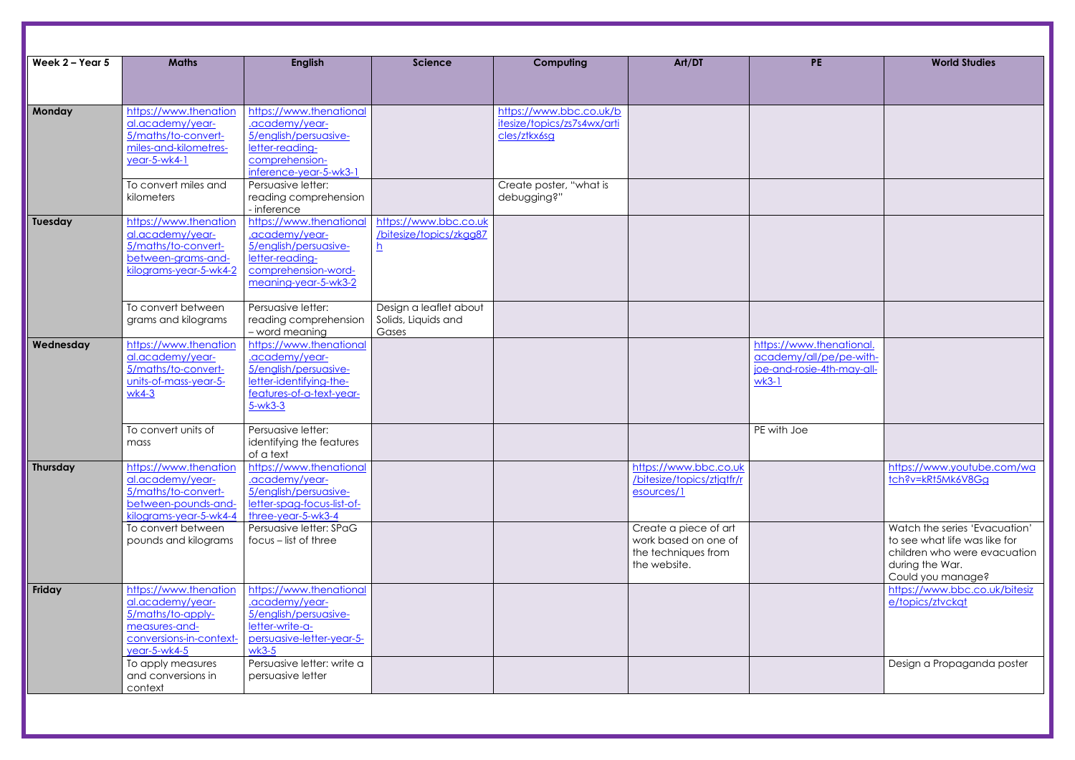| Week 2 - Year 5 | <b>Maths</b>                                                                                                               | <b>English</b>                                                                                                                         | <b>Science</b>                                         | Computing                                                              | Art/DT                                                                               | <b>PE</b>                                                                                    | <b>World Studies</b>                                                                                                |
|-----------------|----------------------------------------------------------------------------------------------------------------------------|----------------------------------------------------------------------------------------------------------------------------------------|--------------------------------------------------------|------------------------------------------------------------------------|--------------------------------------------------------------------------------------|----------------------------------------------------------------------------------------------|---------------------------------------------------------------------------------------------------------------------|
|                 |                                                                                                                            |                                                                                                                                        |                                                        |                                                                        |                                                                                      |                                                                                              |                                                                                                                     |
| Monday          | https://www.thenation<br>al.academy/year-<br>5/maths/to-convert-<br>miles-and-kilometres-<br>year-5-wk4-1                  | https://www.thenational<br>.academy/year-<br>5/english/persuasive-<br>letter-reading-<br>comprehension-<br>inference-year-5-wk3-1      |                                                        | https://www.bbc.co.uk/b<br>itesize/topics/zs7s4wx/arti<br>cles/ztkx6sg |                                                                                      |                                                                                              |                                                                                                                     |
|                 | To convert miles and<br>kilometers                                                                                         | Persuasive letter:<br>reading comprehension<br>- inference                                                                             |                                                        | Create poster, "what is<br>debugging?"                                 |                                                                                      |                                                                                              |                                                                                                                     |
| <b>Tuesday</b>  | https://www.thenation<br>al.academy/year-<br>5/maths/to-convert-<br>between-grams-and-<br>kilograms-year-5-wk4-2           | https://www.thenational<br>.academy/year-<br>5/english/persuasive-<br>letter-reading-<br>comprehension-word-<br>meaning-year-5-wk3-2   | https://www.bbc.co.uk<br>/bitesize/topics/zkgg87<br>h  |                                                                        |                                                                                      |                                                                                              |                                                                                                                     |
|                 | To convert between<br>grams and kilograms                                                                                  | Persuasive letter:<br>reading comprehension<br>- word meaning                                                                          | Design a leaflet about<br>Solids, Liquids and<br>Gases |                                                                        |                                                                                      |                                                                                              |                                                                                                                     |
| Wednesday       | https://www.thenation<br>al.academy/year-<br>5/maths/to-convert-<br>units-of-mass-year-5-<br>$wk4-3$                       | https://www.thenational<br>.academy/year-<br>5/english/persuasive-<br>letter-identifying-the-<br>features-of-a-text-year-<br>$5-wk3-3$ |                                                        |                                                                        |                                                                                      | https://www.thenational.<br>academy/all/pe/pe-with-<br>joe-and-rosie-4th-may-all-<br>$wk3-1$ |                                                                                                                     |
|                 | To convert units of<br>mass                                                                                                | Persuasive letter:<br>identifying the features<br>of a text                                                                            |                                                        |                                                                        |                                                                                      | PE with Joe                                                                                  |                                                                                                                     |
| Thursday        | https://www.thenation<br>al.academy/year-<br>5/maths/to-convert-<br>between-pounds-and-<br>kilograms-year-5-wk4-4          | https://www.thenational<br>.academy/year-<br>5/english/persuasive-<br>letter-spag-focus-list-of-<br>three-year-5-wk3-4                 |                                                        |                                                                        | https://www.bbc.co.uk<br>/bitesize/topics/ztjqtfr/r<br>esources/1                    |                                                                                              | https://www.youtube.<br>tch?v=kRt5Mk6V8Gg                                                                           |
|                 | To convert between<br>pounds and kilograms                                                                                 | Persuasive letter: SPaG<br>$focus - list of three$                                                                                     |                                                        |                                                                        | Create a piece of art<br>work based on one of<br>the techniques from<br>the website. |                                                                                              | Watch the series 'Evad<br>to see what life was lik<br>children who were evo<br>during the War.<br>Could you manage? |
| Friday          | https://www.thenation<br>al.academy/year-<br>5/maths/to-apply-<br>measures-and-<br>conversions-in-context-<br>year-5-wk4-5 | https://www.thenational<br>.academy/year-<br>5/english/persuasive-<br>letter-write-a-<br>persuasive-letter-year-5-<br>$wk3-5$          |                                                        |                                                                        |                                                                                      |                                                                                              | https://www.bbc.co.u<br>e/topics/ztvckqt                                                                            |
|                 | To apply measures<br>and conversions in<br>context                                                                         | Persuasive letter: write a<br>persuasive letter                                                                                        |                                                        |                                                                        |                                                                                      |                                                                                              | Design a Propaganda                                                                                                 |

| <b>PE</b>                                           | <b>World Studies</b>                                          |  |  |  |  |
|-----------------------------------------------------|---------------------------------------------------------------|--|--|--|--|
|                                                     |                                                               |  |  |  |  |
|                                                     |                                                               |  |  |  |  |
|                                                     |                                                               |  |  |  |  |
|                                                     |                                                               |  |  |  |  |
|                                                     |                                                               |  |  |  |  |
|                                                     |                                                               |  |  |  |  |
|                                                     |                                                               |  |  |  |  |
|                                                     |                                                               |  |  |  |  |
|                                                     |                                                               |  |  |  |  |
|                                                     |                                                               |  |  |  |  |
|                                                     |                                                               |  |  |  |  |
|                                                     |                                                               |  |  |  |  |
|                                                     |                                                               |  |  |  |  |
|                                                     |                                                               |  |  |  |  |
|                                                     |                                                               |  |  |  |  |
|                                                     |                                                               |  |  |  |  |
|                                                     |                                                               |  |  |  |  |
|                                                     |                                                               |  |  |  |  |
| https://www.thenational.<br>academy/all/pe/pe-with- |                                                               |  |  |  |  |
| joe-and-rosie-4th-may-all-                          |                                                               |  |  |  |  |
| $wk3-1$                                             |                                                               |  |  |  |  |
|                                                     |                                                               |  |  |  |  |
|                                                     |                                                               |  |  |  |  |
| PE with Joe                                         |                                                               |  |  |  |  |
|                                                     |                                                               |  |  |  |  |
|                                                     |                                                               |  |  |  |  |
|                                                     | https://www.youtube.com/wa                                    |  |  |  |  |
|                                                     | tch?v=kRt5Mk6V8Gg                                             |  |  |  |  |
|                                                     |                                                               |  |  |  |  |
|                                                     |                                                               |  |  |  |  |
|                                                     | Watch the series 'Evacuation'                                 |  |  |  |  |
|                                                     | to see what life was like for<br>children who were evacuation |  |  |  |  |
|                                                     | during the War.                                               |  |  |  |  |
|                                                     | Could you manage?                                             |  |  |  |  |
|                                                     | https://www.bbc.co.uk/bitesiz                                 |  |  |  |  |
|                                                     | e/topics/ztvckqt                                              |  |  |  |  |
|                                                     |                                                               |  |  |  |  |
|                                                     |                                                               |  |  |  |  |
|                                                     |                                                               |  |  |  |  |
|                                                     | Design a Propaganda poster                                    |  |  |  |  |
|                                                     |                                                               |  |  |  |  |
|                                                     |                                                               |  |  |  |  |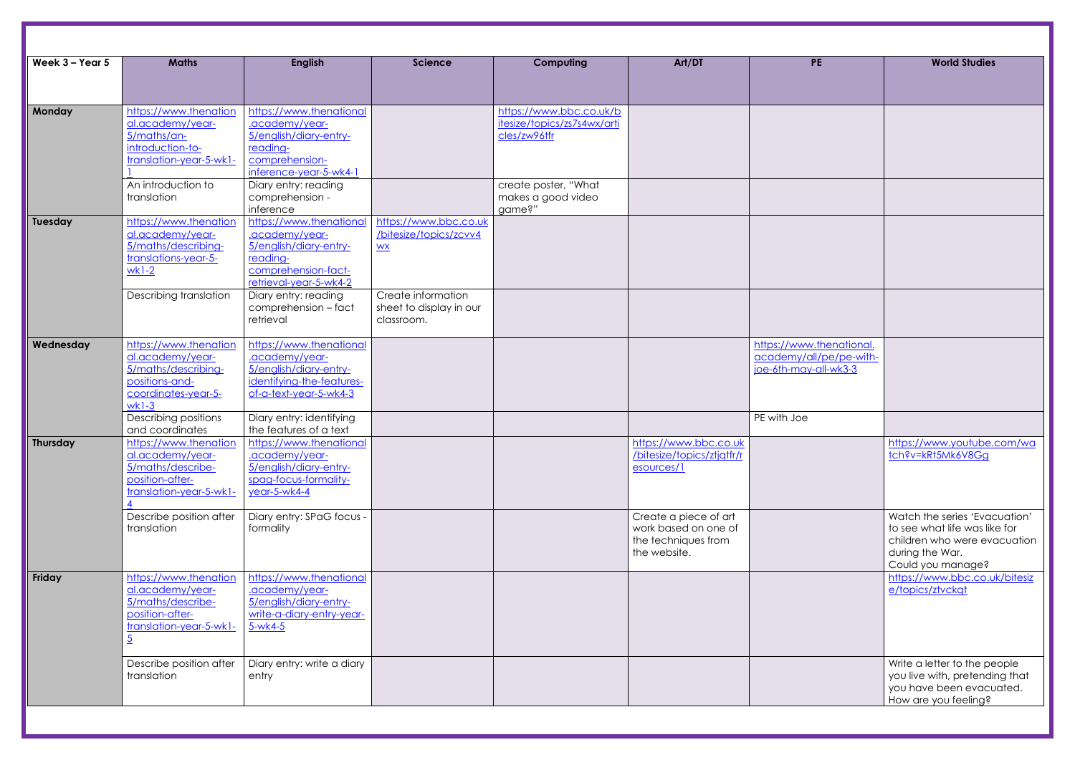| Week $3 - Y$ ear 5 | <b>Maths</b>                                                                                                                  | <b>English</b>                                                                                                                                                                                | <b>Science</b>                                                                                                       | Computing                                                              | Art/DT                                                                               | <b>PE</b>                                                                    | <b>World Studies</b>                                                                                                |
|--------------------|-------------------------------------------------------------------------------------------------------------------------------|-----------------------------------------------------------------------------------------------------------------------------------------------------------------------------------------------|----------------------------------------------------------------------------------------------------------------------|------------------------------------------------------------------------|--------------------------------------------------------------------------------------|------------------------------------------------------------------------------|---------------------------------------------------------------------------------------------------------------------|
|                    |                                                                                                                               |                                                                                                                                                                                               |                                                                                                                      |                                                                        |                                                                                      |                                                                              |                                                                                                                     |
| Monday             | https://www.thenation<br>al.academy/year-<br>5/maths/an-<br>introduction-to-<br>translation-year-5-wk1-                       | https://www.thenational<br>.academy/year-<br>5/english/diary-entry-<br>reading-<br>comprehension-<br>inference-year-5-wk4-1                                                                   |                                                                                                                      | https://www.bbc.co.uk/b<br>itesize/topics/zs7s4wx/arti<br>cles/zw96tfr |                                                                                      |                                                                              |                                                                                                                     |
|                    | An introduction to<br>translation                                                                                             | Diary entry: reading<br>comprehension -<br>inference                                                                                                                                          |                                                                                                                      | create poster, "What<br>makes a good video<br>game?"                   |                                                                                      |                                                                              |                                                                                                                     |
| Tuesday            | https://www.thenation<br>al.academy/year-<br>5/maths/describing-<br>translations-year-5-<br>$wk1-2$<br>Describing translation | https://www.thenational<br>.academy/year-<br>5/english/diary-entry-<br>reading-<br>comprehension-fact-<br>retrieval-year-5-wk4-2<br>Diary entry: reading<br>comprehension - fact<br>retrieval | https://www.bbc.co.uk<br>/bitesize/topics/zcvv4<br>WX<br>Create information<br>sheet to display in our<br>classroom. |                                                                        |                                                                                      |                                                                              |                                                                                                                     |
| Wednesday          | https://www.thenation<br>al.academy/year-<br>5/maths/describing-<br>positions-and-                                            | https://www.thenational<br>.academy/year-<br>5/english/diary-entry-<br>identifying-the-features-                                                                                              |                                                                                                                      |                                                                        |                                                                                      | https://www.thenational.<br>academy/all/pe/pe-with-<br>joe-6th-may-all-wk3-3 |                                                                                                                     |
|                    | coordinates-year-5-<br>$wk1-3$<br>Describing positions<br>and coordinates                                                     | of-a-text-year-5-wk4-3<br>Diary entry: identifying<br>the features of a text                                                                                                                  |                                                                                                                      |                                                                        |                                                                                      | PE with Joe                                                                  |                                                                                                                     |
| <b>Thursday</b>    | https://www.thenation<br>al.academy/year-<br>5/maths/describe-<br>position-after-<br>translation-year-5-wk1-                  | https://www.thenational<br>.academy/year-<br>5/english/diary-entry-<br>spag-focus-formality-<br>year-5-wk4-4                                                                                  |                                                                                                                      |                                                                        | https://www.bbc.co.uk<br>/bitesize/topics/ztjqtfr/r<br>esources/1                    |                                                                              | https://www.youtube.<br>tch?v=kRt5Mk6V8Gg                                                                           |
|                    | Describe position after<br>translation                                                                                        | Diary entry: SPaG focus -<br>formality                                                                                                                                                        |                                                                                                                      |                                                                        | Create a piece of art<br>work based on one of<br>the techniques from<br>the website. |                                                                              | Watch the series 'Evad<br>to see what life was lik<br>children who were evo<br>during the War.<br>Could you manage? |
| Friday             | https://www.thenation<br>al.academy/year-<br>5/maths/describe-<br>position-after-<br>translation-year-5-wk1-                  | https://www.thenational<br>.academy/year-<br>5/english/diary-entry-<br>write-a-diary-entry-year-<br>$5-wk4-5$                                                                                 |                                                                                                                      |                                                                        |                                                                                      |                                                                              | https://www.bbc.co.u<br>e/topics/ztvckgt                                                                            |
|                    | Describe position after<br>translation                                                                                        | Diary entry: write a diary<br>entry                                                                                                                                                           |                                                                                                                      |                                                                        |                                                                                      |                                                                              | Write a letter to the pe<br>you live with, pretendi<br>you have been evacu<br>How are you feeling?                  |

| PE                                                  | <b>World Studies</b>                                           |
|-----------------------------------------------------|----------------------------------------------------------------|
|                                                     |                                                                |
|                                                     |                                                                |
|                                                     |                                                                |
|                                                     |                                                                |
|                                                     |                                                                |
|                                                     |                                                                |
|                                                     |                                                                |
|                                                     |                                                                |
|                                                     |                                                                |
|                                                     |                                                                |
| https://www.thenational.<br>academy/all/pe/pe-with- |                                                                |
| joe-6th-may-all-wk3-3                               |                                                                |
|                                                     |                                                                |
| PE with Joe                                         |                                                                |
|                                                     | https://www.youtube.com/wa<br>tch?v=kRt5Mk6V8Gg                |
|                                                     |                                                                |
|                                                     |                                                                |
|                                                     | Watch the series 'Evacuation'<br>to see what life was like for |
|                                                     | children who were evacuation<br>during the War.                |
|                                                     | Could you manage?                                              |
|                                                     | https://www.bbc.co.uk/bitesiz<br>e/topics/ztvckqt              |
|                                                     |                                                                |
|                                                     |                                                                |
|                                                     | Write a letter to the people                                   |
|                                                     | you live with, pretending that<br>you have been evacuated.     |
|                                                     | How are you feeling?                                           |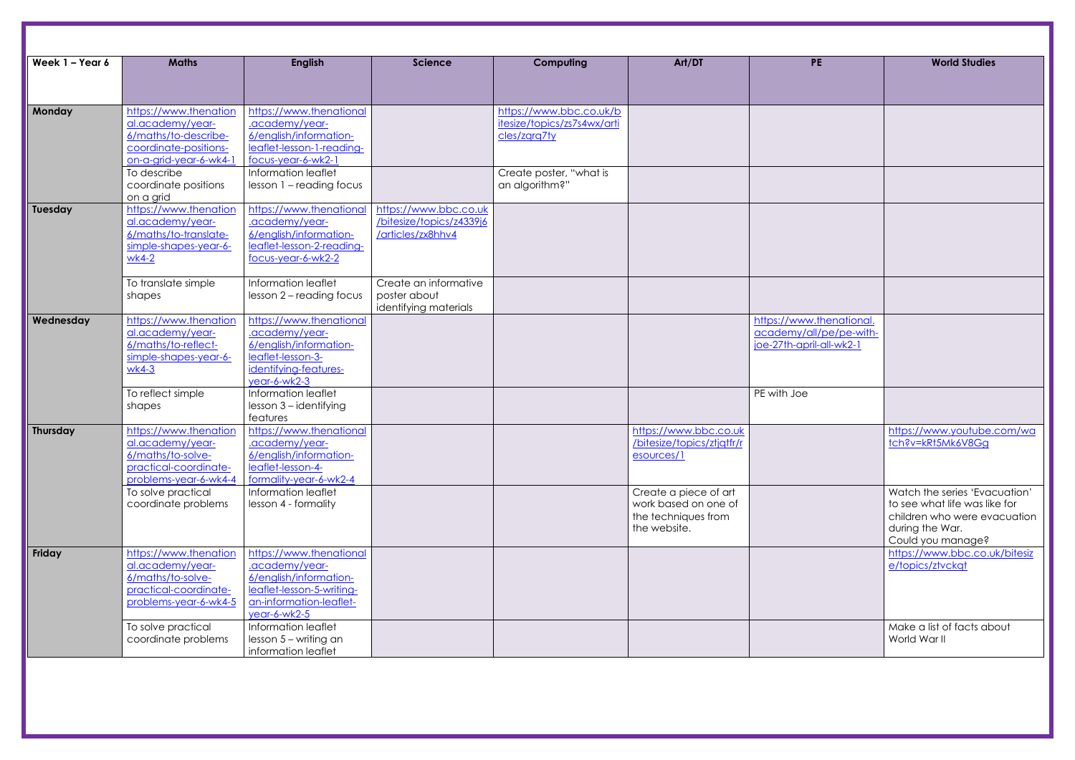| Week 1 - Year 6 | <b>Maths</b>                                                                                                         | <b>English</b>                                                                                                                              | <b>Science</b>                                                         | Computing                                                              | Art/DT                                                                               | <b>PE</b>                                                                       | <b>World Studies</b>                                                                                                |
|-----------------|----------------------------------------------------------------------------------------------------------------------|---------------------------------------------------------------------------------------------------------------------------------------------|------------------------------------------------------------------------|------------------------------------------------------------------------|--------------------------------------------------------------------------------------|---------------------------------------------------------------------------------|---------------------------------------------------------------------------------------------------------------------|
|                 |                                                                                                                      |                                                                                                                                             |                                                                        |                                                                        |                                                                                      |                                                                                 |                                                                                                                     |
| Monday          | https://www.thenation<br>al.academy/year-<br>6/maths/to-describe-<br>coordinate-positions-<br>on-a-grid-year-6-wk4-1 | https://www.thenational<br>.academy/year-<br>6/english/information-<br>leaflet-lesson-1-reading-<br>focus-year-6-wk2-1                      |                                                                        | https://www.bbc.co.uk/b<br>itesize/topics/zs7s4wx/arti<br>cles/zgrg7ty |                                                                                      |                                                                                 |                                                                                                                     |
|                 | To describe<br>coordinate positions<br>on a grid                                                                     | Information leaflet<br>lesson 1 - reading focus                                                                                             |                                                                        | Create poster, "what is<br>an algorithm?"                              |                                                                                      |                                                                                 |                                                                                                                     |
| Tuesday         | https://www.thenation<br>al.academy/year-<br>6/maths/to-translate-<br>simple-shapes-year-6-<br>$wk4-2$               | https://www.thenational<br>.academy/year-<br>6/english/information-<br>leaflet-lesson-2-reading-<br>focus-year-6-wk2-2                      | https://www.bbc.co.uk<br>/bitesize/topics/z4339j6<br>/articles/zx8hhv4 |                                                                        |                                                                                      |                                                                                 |                                                                                                                     |
|                 | To translate simple<br>shapes                                                                                        | Information leaflet<br>lesson 2 - reading focus                                                                                             | Create an informative<br>poster about<br>identifying materials         |                                                                        |                                                                                      |                                                                                 |                                                                                                                     |
| Wednesday       | https://www.thenation<br>al.academy/year-<br>6/maths/to-reflect-<br>simple-shapes-year-6-<br>$wk4-3$                 | https://www.thenational<br>.academy/year-<br>6/english/information-<br>leaflet-lesson-3-<br>identifying-features-<br>year-6-wk2-3           |                                                                        |                                                                        |                                                                                      | https://www.thenational.<br>academy/all/pe/pe-with-<br>joe-27th-april-all-wk2-1 |                                                                                                                     |
|                 | To reflect simple<br>shapes                                                                                          | Information leaflet<br>lesson 3 - identifying<br>features                                                                                   |                                                                        |                                                                        |                                                                                      | PE with Joe                                                                     |                                                                                                                     |
| Thursday        | https://www.thenation<br>al.academy/year-<br>6/maths/to-solve-<br>practical-coordinate-<br>problems-year-6-wk4-4     | https://www.thenational<br>.academy/year-<br>6/english/information-<br>leaflet-lesson-4-<br>formality-year-6-wk2-4                          |                                                                        |                                                                        | https://www.bbc.co.uk<br>/bitesize/topics/ztjqtfr/r<br>esources/1                    |                                                                                 | https://www.youtube.<br>tch?v=kRt5Mk6V8Gg                                                                           |
|                 | To solve practical<br>coordinate problems                                                                            | Information leaflet<br>lesson 4 - formality                                                                                                 |                                                                        |                                                                        | Create a piece of art<br>work based on one of<br>the techniques from<br>the website. |                                                                                 | Watch the series 'Evad<br>to see what life was lik<br>children who were evo<br>during the War.<br>Could you manage? |
| Friday          | https://www.thenation<br>al.academy/year-<br>6/maths/to-solve-<br>practical-coordinate-<br>problems-year-6-wk4-5     | https://www.thenational<br>.academy/year-<br>6/english/information-<br>leaflet-lesson-5-writing-<br>an-information-leaflet-<br>year-6-wk2-5 |                                                                        |                                                                        |                                                                                      |                                                                                 | https://www.bbc.co.u<br>e/topics/ztvckgt                                                                            |
|                 | To solve practical<br>coordinate problems                                                                            | Information leaflet<br>$lesson 5 - writing $<br>information leaflet                                                                         |                                                                        |                                                                        |                                                                                      |                                                                                 | Make a list of facts ab<br>World War II                                                                             |

| <b>PE</b>                                           | <b>World Studies</b>                                           |
|-----------------------------------------------------|----------------------------------------------------------------|
|                                                     |                                                                |
|                                                     |                                                                |
|                                                     |                                                                |
|                                                     |                                                                |
|                                                     |                                                                |
|                                                     |                                                                |
|                                                     |                                                                |
|                                                     |                                                                |
|                                                     |                                                                |
|                                                     |                                                                |
| https://www.thenational.                            |                                                                |
| academy/all/pe/pe-with-<br>joe-27th-april-all-wk2-1 |                                                                |
|                                                     |                                                                |
| PE with Joe                                         |                                                                |
|                                                     |                                                                |
|                                                     | https://www.youtube.com/wa<br>tch?v=kRt5Mk6V8Gg                |
|                                                     |                                                                |
|                                                     |                                                                |
|                                                     | Watch the series 'Evacuation'<br>to see what life was like for |
|                                                     | children who were evacuation                                   |
|                                                     | during the War.<br>Could you manage?                           |
|                                                     | https://www.bbc.co.uk/bitesiz                                  |
|                                                     | e/topics/ztvckat                                               |
|                                                     |                                                                |
|                                                     |                                                                |
|                                                     | Make a list of facts about<br>World War II                     |
|                                                     |                                                                |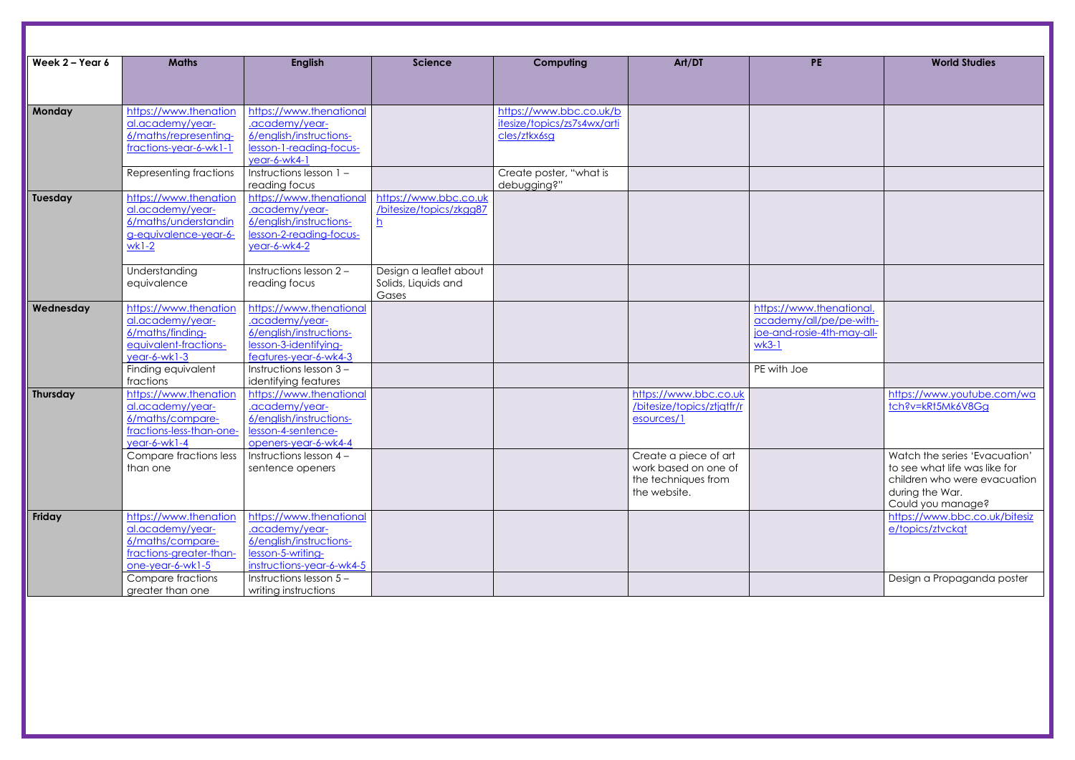| Week 2 - Year 6 | <b>Maths</b>             | <b>English</b>            | <b>Science</b>          | Computing                   | Art/DT                     | <b>PE</b>                  | <b>World Studies</b>     |
|-----------------|--------------------------|---------------------------|-------------------------|-----------------------------|----------------------------|----------------------------|--------------------------|
|                 |                          |                           |                         |                             |                            |                            |                          |
|                 |                          |                           |                         |                             |                            |                            |                          |
| Monday          | https://www.thenation    | https://www.thenational   |                         | https://www.bbc.co.uk/b     |                            |                            |                          |
|                 | al.academy/year-         | .academy/year-            |                         | itesize/topics/zs7s4wx/arti |                            |                            |                          |
|                 | 6/maths/representing-    | 6/english/instructions-   |                         | cles/ztkx6sg                |                            |                            |                          |
|                 | fractions-year-6-wk1-1   | lesson-1-reading-focus-   |                         |                             |                            |                            |                          |
|                 |                          | year-6-wk4-1              |                         |                             |                            |                            |                          |
|                 | Representing fractions   | Instructions lesson 1 -   |                         | Create poster, "what is     |                            |                            |                          |
|                 |                          | reading focus             |                         | debugging?"                 |                            |                            |                          |
| Tuesday         | https://www.thenation    | https://www.thenational   | https://www.bbc.co.uk   |                             |                            |                            |                          |
|                 | al.academy/year-         | .academy/year-            | /bitesize/topics/zkgg87 |                             |                            |                            |                          |
|                 | 6/maths/understandin     | 6/english/instructions-   | <u>h</u>                |                             |                            |                            |                          |
|                 | g-equivalence-year-6-    | lesson-2-reading-focus-   |                         |                             |                            |                            |                          |
|                 | $wk1-2$                  | year-6-wk4-2              |                         |                             |                            |                            |                          |
|                 |                          |                           |                         |                             |                            |                            |                          |
|                 | Understanding            | Instructions lesson 2 -   | Design a leaflet about  |                             |                            |                            |                          |
|                 | equivalence              | reading focus             | Solids, Liquids and     |                             |                            |                            |                          |
|                 |                          |                           | Gases                   |                             |                            |                            |                          |
| Wednesday       | https://www.thenation    | https://www.thenational   |                         |                             |                            | https://www.thenational.   |                          |
|                 | al.academy/year-         | .academy/year-            |                         |                             |                            | academy/all/pe/pe-with-    |                          |
|                 | 6/maths/finding-         | 6/english/instructions-   |                         |                             |                            | joe-and-rosie-4th-may-all- |                          |
|                 | equivalent-fractions-    | lesson-3-identifying-     |                         |                             |                            | $wk3-1$                    |                          |
|                 | $year-6-wk1-3$           | features-year-6-wk4-3     |                         |                             |                            |                            |                          |
|                 | Finding equivalent       | Instructions lesson 3-    |                         |                             |                            | PE with Joe                |                          |
|                 | fractions                | identifying features      |                         |                             |                            |                            |                          |
| <b>Thursday</b> | https://www.thenation    | https://www.thenational   |                         |                             | https://www.bbc.co.uk      |                            | https://www.youtube.     |
|                 | al.academy/year-         | .academy/year-            |                         |                             | /bitesize/topics/ztjqtfr/r |                            | tch?v=kRt5Mk6V8Gg        |
|                 | 6/maths/compare-         | 6/english/instructions-   |                         |                             | esources/1                 |                            |                          |
|                 | fractions-less-than-one- | lesson-4-sentence-        |                         |                             |                            |                            |                          |
|                 | $year-6-wk1-4$           | openers-year-6-wk4-4      |                         |                             |                            |                            |                          |
|                 | Compare fractions less   | Instructions lesson $4 -$ |                         |                             | Create a piece of art      |                            | Watch the series 'Evad   |
|                 | than one                 | sentence openers          |                         |                             | work based on one of       |                            | to see what life was lik |
|                 |                          |                           |                         |                             | the techniques from        |                            | children who were evo    |
|                 |                          |                           |                         |                             | the website.               |                            | during the War.          |
|                 |                          |                           |                         |                             |                            |                            | Could you manage?        |
| Friday          | https://www.thenation    | https://www.thenational   |                         |                             |                            |                            | https://www.bbc.co.u     |
|                 | al.academy/year-         | .academy/year-            |                         |                             |                            |                            | e/topics/ztvckgt         |
|                 | 6/maths/compare-         | 6/english/instructions-   |                         |                             |                            |                            |                          |
|                 | fractions-greater-than-  | lesson-5-writing-         |                         |                             |                            |                            |                          |
|                 | one-year-6-wk1-5         | instructions-year-6-wk4-5 |                         |                             |                            |                            |                          |
|                 | Compare fractions        | Instructions lesson 5 -   |                         |                             |                            |                            | Design a Propaganda      |
|                 | greater than one         | writing instructions      |                         |                             |                            |                            |                          |
|                 |                          |                           |                         |                             |                            |                            |                          |

| <b>PE</b>                  | <b>World Studies</b>                                           |
|----------------------------|----------------------------------------------------------------|
|                            |                                                                |
|                            |                                                                |
|                            |                                                                |
|                            |                                                                |
|                            |                                                                |
|                            |                                                                |
|                            |                                                                |
|                            |                                                                |
|                            |                                                                |
|                            |                                                                |
|                            |                                                                |
|                            |                                                                |
|                            |                                                                |
|                            |                                                                |
|                            |                                                                |
|                            |                                                                |
|                            |                                                                |
| https://www.thenational.   |                                                                |
| academy/all/pe/pe-with-    |                                                                |
| joe-and-rosie-4th-may-all- |                                                                |
| $wk3-1$                    |                                                                |
|                            |                                                                |
| PE with Joe                |                                                                |
|                            |                                                                |
|                            | https://www.youtube.com/wa                                     |
|                            | tch?v=kRt5Mk6V8Gg                                              |
|                            |                                                                |
|                            |                                                                |
|                            |                                                                |
|                            | Watch the series 'Evacuation'<br>to see what life was like for |
|                            | children who were evacuation                                   |
|                            | during the War.                                                |
|                            | Could you manage?                                              |
|                            | https://www.bbc.co.uk/bitesiz                                  |
|                            | e/topics/ztvckqt                                               |
|                            |                                                                |
|                            |                                                                |
|                            |                                                                |
|                            | Design a Propaganda poster                                     |
|                            |                                                                |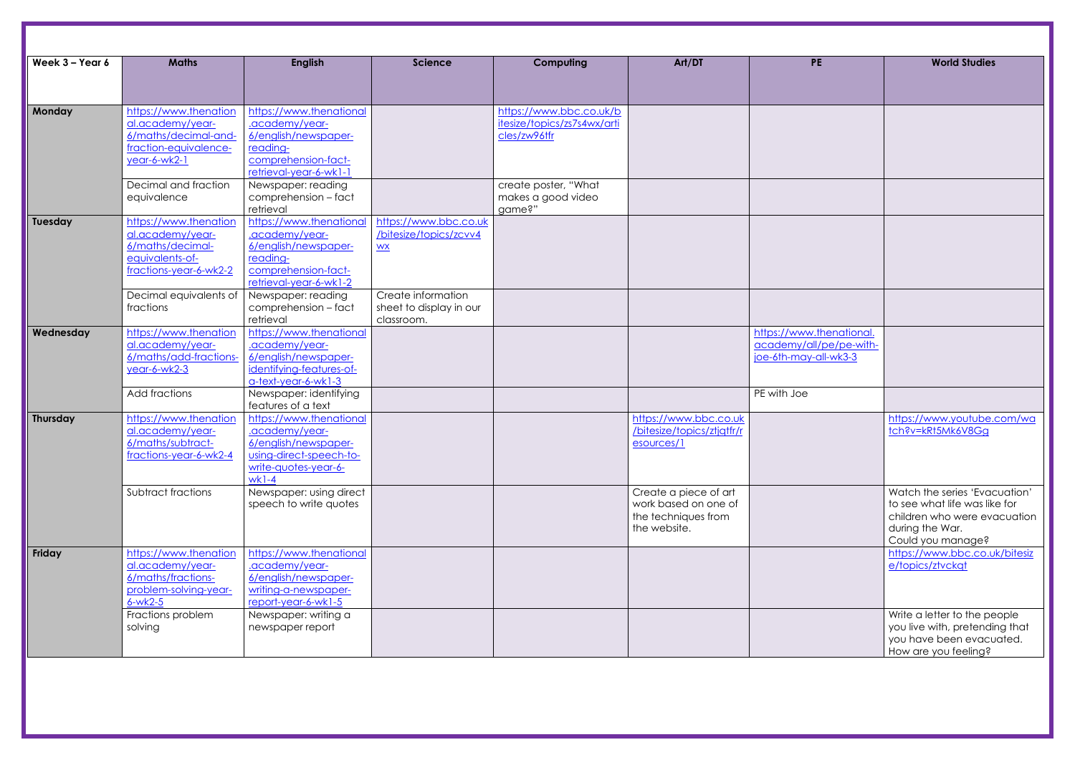| Week 3 - Year 6 | <b>Maths</b>                                                                                               | <b>English</b>                                                                                                                  | <b>Science</b>                                                      | Computing                                                              | Art/DT                                                                               | <b>PE</b>                                                                    | <b>World Studies</b>                                                                                                |
|-----------------|------------------------------------------------------------------------------------------------------------|---------------------------------------------------------------------------------------------------------------------------------|---------------------------------------------------------------------|------------------------------------------------------------------------|--------------------------------------------------------------------------------------|------------------------------------------------------------------------------|---------------------------------------------------------------------------------------------------------------------|
|                 |                                                                                                            |                                                                                                                                 |                                                                     |                                                                        |                                                                                      |                                                                              |                                                                                                                     |
| Monday          | https://www.thenation<br>al.academy/year-<br>6/maths/decimal-and-<br>fraction-equivalence-<br>year-6-wk2-1 | https://www.thenational<br>.academy/year-<br>6/english/newspaper-<br>reading-<br>comprehension-fact-                            |                                                                     | https://www.bbc.co.uk/b<br>itesize/topics/zs7s4wx/arti<br>cles/zw96tfr |                                                                                      |                                                                              |                                                                                                                     |
|                 | Decimal and fraction<br>equivalence                                                                        | retrieval-year-6-wk1-1<br>Newspaper: reading<br>comprehension - fact<br>retrieval                                               |                                                                     | create poster, "What<br>makes a good video<br>game?"                   |                                                                                      |                                                                              |                                                                                                                     |
| Tuesday         | https://www.thenation<br>al.academy/year-<br>6/maths/decimal-<br>equivalents-of-<br>fractions-year-6-wk2-2 | https://www.thenational<br>.academy/year-<br>6/english/newspaper-<br>reading-<br>comprehension-fact-<br>retrieval-year-6-wk1-2  | https://www.bbc.co.uk<br>/bitesize/topics/zcvv4<br>$\underline{WX}$ |                                                                        |                                                                                      |                                                                              |                                                                                                                     |
|                 | Decimal equivalents of<br>fractions                                                                        | Newspaper: reading<br>comprehension - fact<br>retrieval                                                                         | Create information<br>sheet to display in our<br>classroom.         |                                                                        |                                                                                      |                                                                              |                                                                                                                     |
| Wednesday       | https://www.thenation<br>al.academy/year-<br>6/maths/add-fractions-<br>year-6-wk2-3                        | https://www.thenational<br>.academy/year-<br>6/english/newspaper-<br>identifying-features-of-<br>a-text-year-6-wk1-3            |                                                                     |                                                                        |                                                                                      | https://www.thenational.<br>academy/all/pe/pe-with-<br>joe-6th-may-all-wk3-3 |                                                                                                                     |
|                 | Add fractions                                                                                              | Newspaper: identifying<br>features of a text                                                                                    |                                                                     |                                                                        |                                                                                      | PE with Joe                                                                  |                                                                                                                     |
| Thursday        | https://www.thenation<br>al.academy/year-<br>6/maths/subtract-<br>fractions-year-6-wk2-4                   | https://www.thenational<br>.academy/year-<br>6/english/newspaper-<br>using-direct-speech-to-<br>write-quotes-year-6-<br>$wk1-4$ |                                                                     |                                                                        | https://www.bbc.co.uk<br>/bitesize/topics/ztjqtfr/r<br>esources/1                    |                                                                              | https://www.youtube.<br>tch?v=kRt5Mk6V8Gg                                                                           |
|                 | Subtract fractions                                                                                         | Newspaper: using direct<br>speech to write quotes                                                                               |                                                                     |                                                                        | Create a piece of art<br>work based on one of<br>the techniques from<br>the website. |                                                                              | Watch the series 'Evad<br>to see what life was lik<br>children who were evo<br>during the War.<br>Could you manage? |
| Friday          | https://www.thenation<br>al.academy/year-<br>6/maths/fractions-<br>problem-solving-year-<br>$6-wk2-5$      | https://www.thenational<br>.academy/year-<br>6/english/newspaper-<br>writing-a-newspaper-<br>report-year-6-wk1-5                |                                                                     |                                                                        |                                                                                      |                                                                              | https://www.bbc.co.u<br>e/topics/ztvckgt                                                                            |
|                 | Fractions problem<br>solving                                                                               | Newspaper: writing a<br>newspaper report                                                                                        |                                                                     |                                                                        |                                                                                      |                                                                              | Write a letter to the pe<br>you live with, pretendi<br>you have been evacu<br>How are you feeling?                  |

| <b>PE</b>                | <b>World Studies</b>                                          |
|--------------------------|---------------------------------------------------------------|
|                          |                                                               |
|                          |                                                               |
|                          |                                                               |
|                          |                                                               |
|                          |                                                               |
|                          |                                                               |
|                          |                                                               |
|                          |                                                               |
|                          |                                                               |
|                          |                                                               |
|                          |                                                               |
|                          |                                                               |
|                          |                                                               |
|                          |                                                               |
|                          |                                                               |
|                          |                                                               |
| https://www.thenational. |                                                               |
| academy/all/pe/pe-with-  |                                                               |
| joe-6th-may-all-wk3-3    |                                                               |
|                          |                                                               |
| PE with Joe              |                                                               |
|                          |                                                               |
|                          | https://www.youtube.com/wa                                    |
|                          | tch?v=kRt5Mk6V8Gg                                             |
|                          |                                                               |
|                          |                                                               |
|                          |                                                               |
|                          | Watch the series 'Evacuation'                                 |
|                          | to see what life was like for<br>children who were evacuation |
|                          | during the War.                                               |
|                          | Could you manage?                                             |
|                          | https://www.bbc.co.uk/bitesiz                                 |
|                          | e/topics/ztvckqt                                              |
|                          |                                                               |
|                          |                                                               |
|                          | Write a letter to the people                                  |
|                          | you live with, pretending that<br>you have been evacuated.    |
|                          | How are you feeling?                                          |
|                          |                                                               |